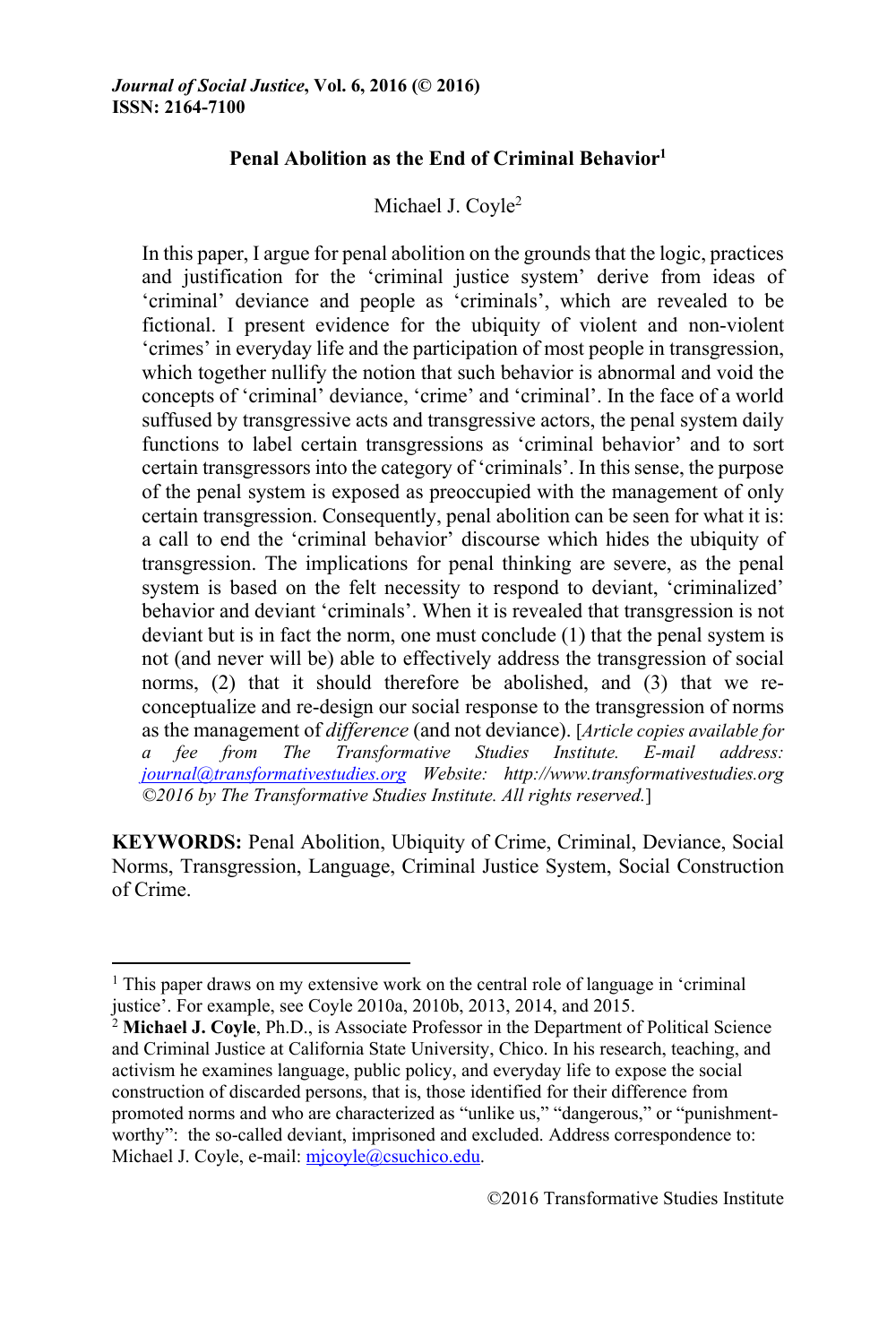## **Penal Abolition as the End of Criminal Behavior1**

## Michael J. Coyle<sup>2</sup>

In this paper, I argue for penal abolition on the grounds that the logic, practices and justification for the 'criminal justice system' derive from ideas of 'criminal' deviance and people as 'criminals', which are revealed to be fictional. I present evidence for the ubiquity of violent and non-violent 'crimes' in everyday life and the participation of most people in transgression, which together nullify the notion that such behavior is abnormal and void the concepts of 'criminal' deviance, 'crime' and 'criminal'. In the face of a world suffused by transgressive acts and transgressive actors, the penal system daily functions to label certain transgressions as 'criminal behavior' and to sort certain transgressors into the category of 'criminals'. In this sense, the purpose of the penal system is exposed as preoccupied with the management of only certain transgression. Consequently, penal abolition can be seen for what it is: a call to end the 'criminal behavior' discourse which hides the ubiquity of transgression. The implications for penal thinking are severe, as the penal system is based on the felt necessity to respond to deviant, 'criminalized' behavior and deviant 'criminals'. When it is revealed that transgression is not deviant but is in fact the norm, one must conclude (1) that the penal system is not (and never will be) able to effectively address the transgression of social norms, (2) that it should therefore be abolished, and (3) that we reconceptualize and re-design our social response to the transgression of norms as the management of *difference* (and not deviance). [*Article copies available for a fee from The Transformative Studies Institute. E-mail address: journal@transformativestudies.org Website: http://www.transformativestudies.org ©2016 by The Transformative Studies Institute. All rights reserved.*]

**KEYWORDS:** Penal Abolition, Ubiquity of Crime, Criminal, Deviance, Social Norms, Transgression, Language, Criminal Justice System, Social Construction of Crime.

<u> 1989 - Johann Stein, fransk politik (d. 1989)</u>

<sup>&</sup>lt;sup>1</sup> This paper draws on my extensive work on the central role of language in 'criminal justice'. For example, see Coyle 2010a, 2010b, 2013, 2014, and 2015.

<sup>&</sup>lt;sup>2</sup> Michael J. Coyle, Ph.D., is Associate Professor in the Department of Political Science and Criminal Justice at California State University, Chico. In his research, teaching, and activism he examines language, public policy, and everyday life to expose the social construction of discarded persons, that is, those identified for their difference from promoted norms and who are characterized as "unlike us," "dangerous," or "punishmentworthy": the so-called deviant, imprisoned and excluded. Address correspondence to: Michael J. Coyle, e-mail: mjcoyle@csuchico.edu.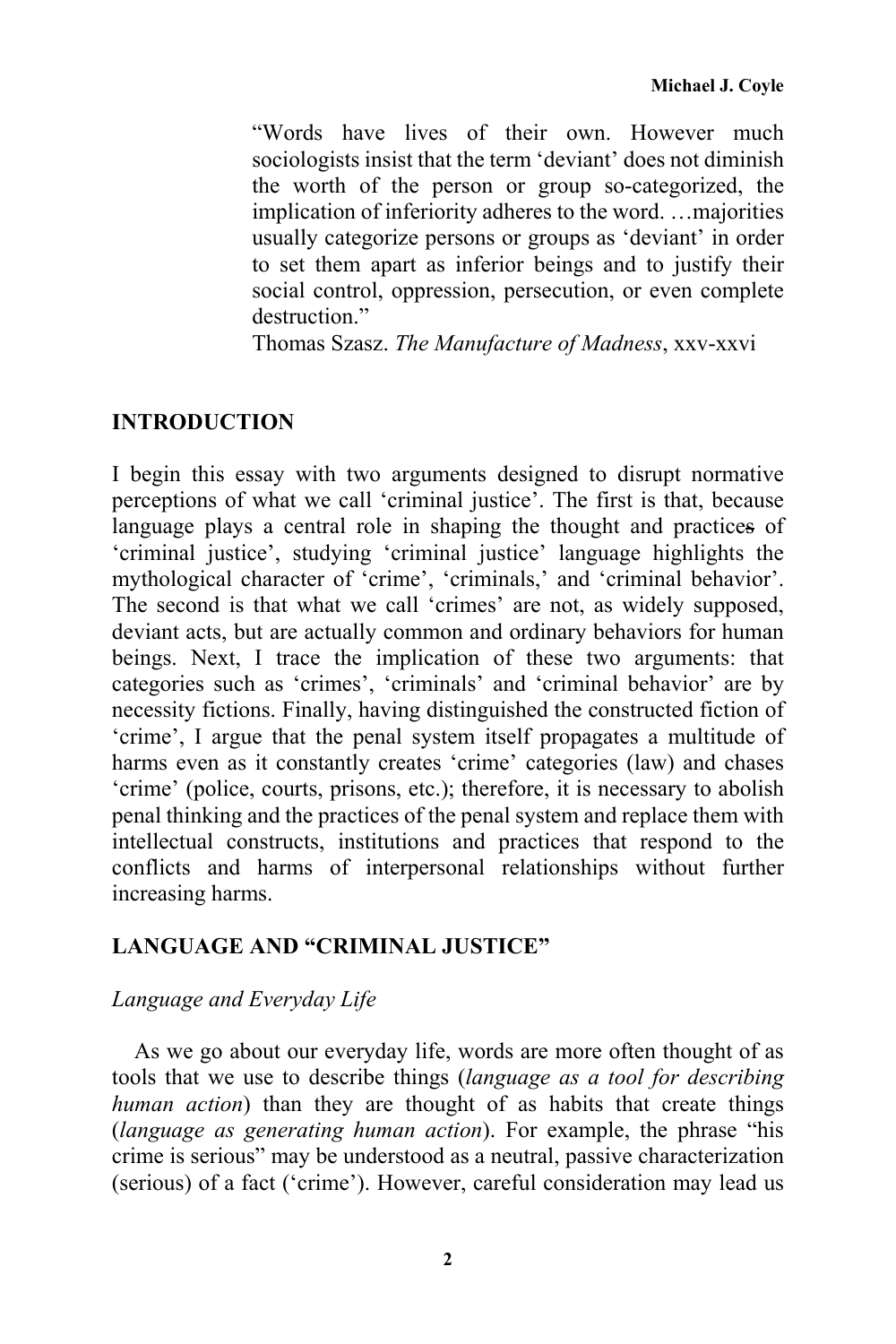"Words have lives of their own. However much sociologists insist that the term 'deviant' does not diminish the worth of the person or group so-categorized, the implication of inferiority adheres to the word. …majorities usually categorize persons or groups as 'deviant' in order to set them apart as inferior beings and to justify their social control, oppression, persecution, or even complete destruction."

Thomas Szasz. *The Manufacture of Madness*, xxv-xxvi

### **INTRODUCTION**

I begin this essay with two arguments designed to disrupt normative perceptions of what we call 'criminal justice'. The first is that, because language plays a central role in shaping the thought and practices of 'criminal justice', studying 'criminal justice' language highlights the mythological character of 'crime', 'criminals,' and 'criminal behavior'. The second is that what we call 'crimes' are not, as widely supposed, deviant acts, but are actually common and ordinary behaviors for human beings. Next, I trace the implication of these two arguments: that categories such as 'crimes', 'criminals' and 'criminal behavior' are by necessity fictions. Finally, having distinguished the constructed fiction of 'crime', I argue that the penal system itself propagates a multitude of harms even as it constantly creates 'crime' categories (law) and chases 'crime' (police, courts, prisons, etc.); therefore, it is necessary to abolish penal thinking and the practices of the penal system and replace them with intellectual constructs, institutions and practices that respond to the conflicts and harms of interpersonal relationships without further increasing harms.

## **LANGUAGE AND "CRIMINAL JUSTICE"**

### *Language and Everyday Life*

As we go about our everyday life, words are more often thought of as tools that we use to describe things (*language as a tool for describing human action*) than they are thought of as habits that create things (*language as generating human action*). For example, the phrase "his crime is serious" may be understood as a neutral, passive characterization (serious) of a fact ('crime'). However, careful consideration may lead us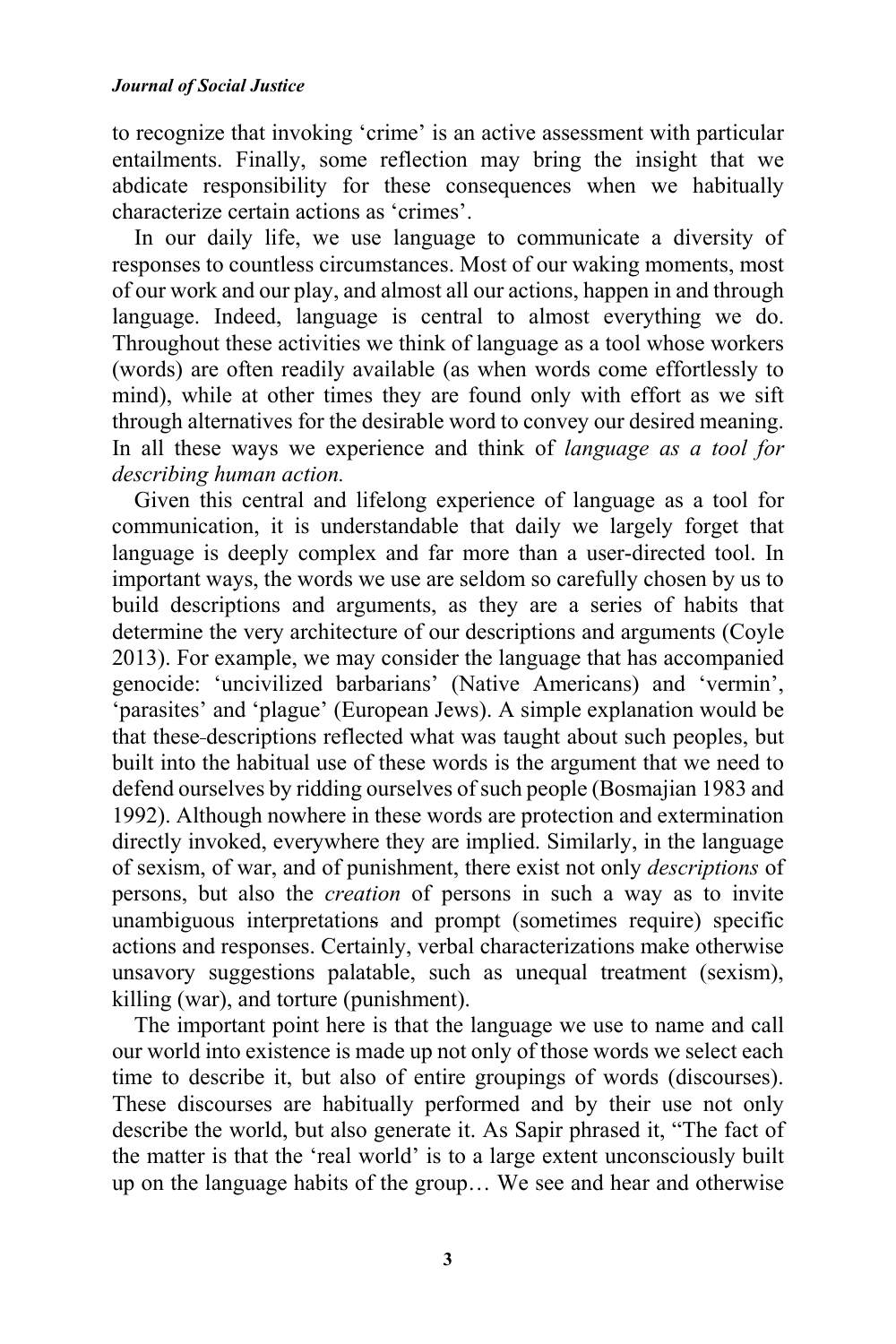to recognize that invoking 'crime' is an active assessment with particular entailments. Finally, some reflection may bring the insight that we abdicate responsibility for these consequences when we habitually characterize certain actions as 'crimes'.

In our daily life, we use language to communicate a diversity of responses to countless circumstances. Most of our waking moments, most of our work and our play, and almost all our actions, happen in and through language. Indeed, language is central to almost everything we do. Throughout these activities we think of language as a tool whose workers (words) are often readily available (as when words come effortlessly to mind), while at other times they are found only with effort as we sift through alternatives for the desirable word to convey our desired meaning. In all these ways we experience and think of *language as a tool for describing human action.*

Given this central and lifelong experience of language as a tool for communication, it is understandable that daily we largely forget that language is deeply complex and far more than a user-directed tool. In important ways, the words we use are seldom so carefully chosen by us to build descriptions and arguments, as they are a series of habits that determine the very architecture of our descriptions and arguments (Coyle 2013). For example, we may consider the language that has accompanied genocide: 'uncivilized barbarians' (Native Americans) and 'vermin', 'parasites' and 'plague' (European Jews). A simple explanation would be that these descriptions reflected what was taught about such peoples, but built into the habitual use of these words is the argument that we need to defend ourselves by ridding ourselves of such people (Bosmajian 1983 and 1992). Although nowhere in these words are protection and extermination directly invoked, everywhere they are implied. Similarly, in the language of sexism, of war, and of punishment, there exist not only *descriptions* of persons, but also the *creation* of persons in such a way as to invite unambiguous interpretations and prompt (sometimes require) specific actions and responses. Certainly, verbal characterizations make otherwise unsavory suggestions palatable, such as unequal treatment (sexism), killing (war), and torture (punishment).

The important point here is that the language we use to name and call our world into existence is made up not only of those words we select each time to describe it, but also of entire groupings of words (discourses). These discourses are habitually performed and by their use not only describe the world, but also generate it. As Sapir phrased it, "The fact of the matter is that the 'real world' is to a large extent unconsciously built up on the language habits of the group… We see and hear and otherwise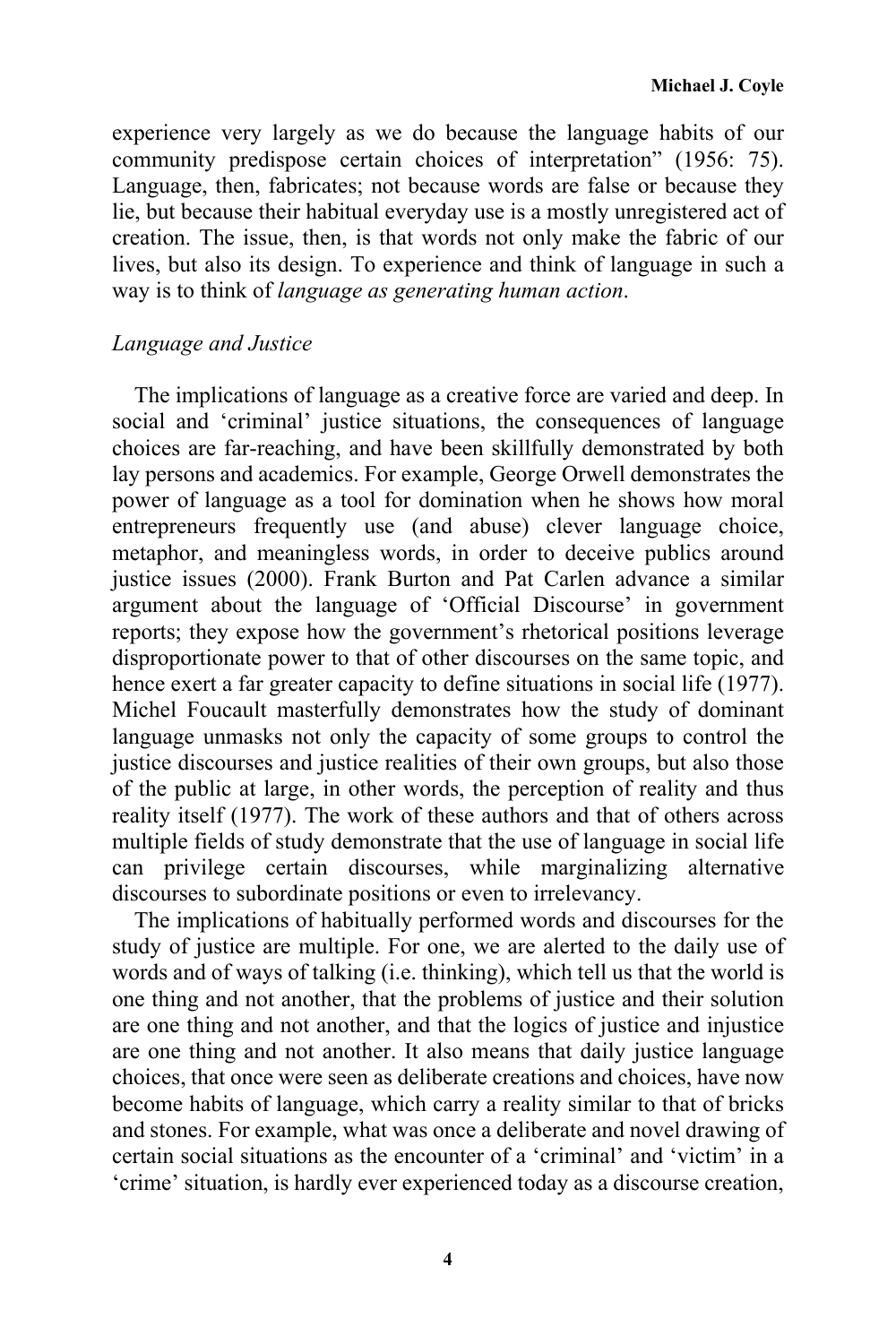experience very largely as we do because the language habits of our community predispose certain choices of interpretation" (1956: 75). Language, then, fabricates; not because words are false or because they lie, but because their habitual everyday use is a mostly unregistered act of creation. The issue, then, is that words not only make the fabric of our lives, but also its design. To experience and think of language in such a way is to think of *language as generating human action*.

### *Language and Justice*

The implications of language as a creative force are varied and deep. In social and 'criminal' justice situations, the consequences of language choices are far-reaching, and have been skillfully demonstrated by both lay persons and academics. For example, George Orwell demonstrates the power of language as a tool for domination when he shows how moral entrepreneurs frequently use (and abuse) clever language choice, metaphor, and meaningless words, in order to deceive publics around justice issues (2000). Frank Burton and Pat Carlen advance a similar argument about the language of 'Official Discourse' in government reports; they expose how the government's rhetorical positions leverage disproportionate power to that of other discourses on the same topic, and hence exert a far greater capacity to define situations in social life (1977). Michel Foucault masterfully demonstrates how the study of dominant language unmasks not only the capacity of some groups to control the justice discourses and justice realities of their own groups, but also those of the public at large, in other words, the perception of reality and thus reality itself (1977). The work of these authors and that of others across multiple fields of study demonstrate that the use of language in social life can privilege certain discourses, while marginalizing alternative discourses to subordinate positions or even to irrelevancy.

The implications of habitually performed words and discourses for the study of justice are multiple. For one, we are alerted to the daily use of words and of ways of talking (i.e. thinking), which tell us that the world is one thing and not another, that the problems of justice and their solution are one thing and not another, and that the logics of justice and injustice are one thing and not another. It also means that daily justice language choices, that once were seen as deliberate creations and choices, have now become habits of language, which carry a reality similar to that of bricks and stones. For example, what was once a deliberate and novel drawing of certain social situations as the encounter of a 'criminal' and 'victim' in a 'crime' situation, is hardly ever experienced today as a discourse creation,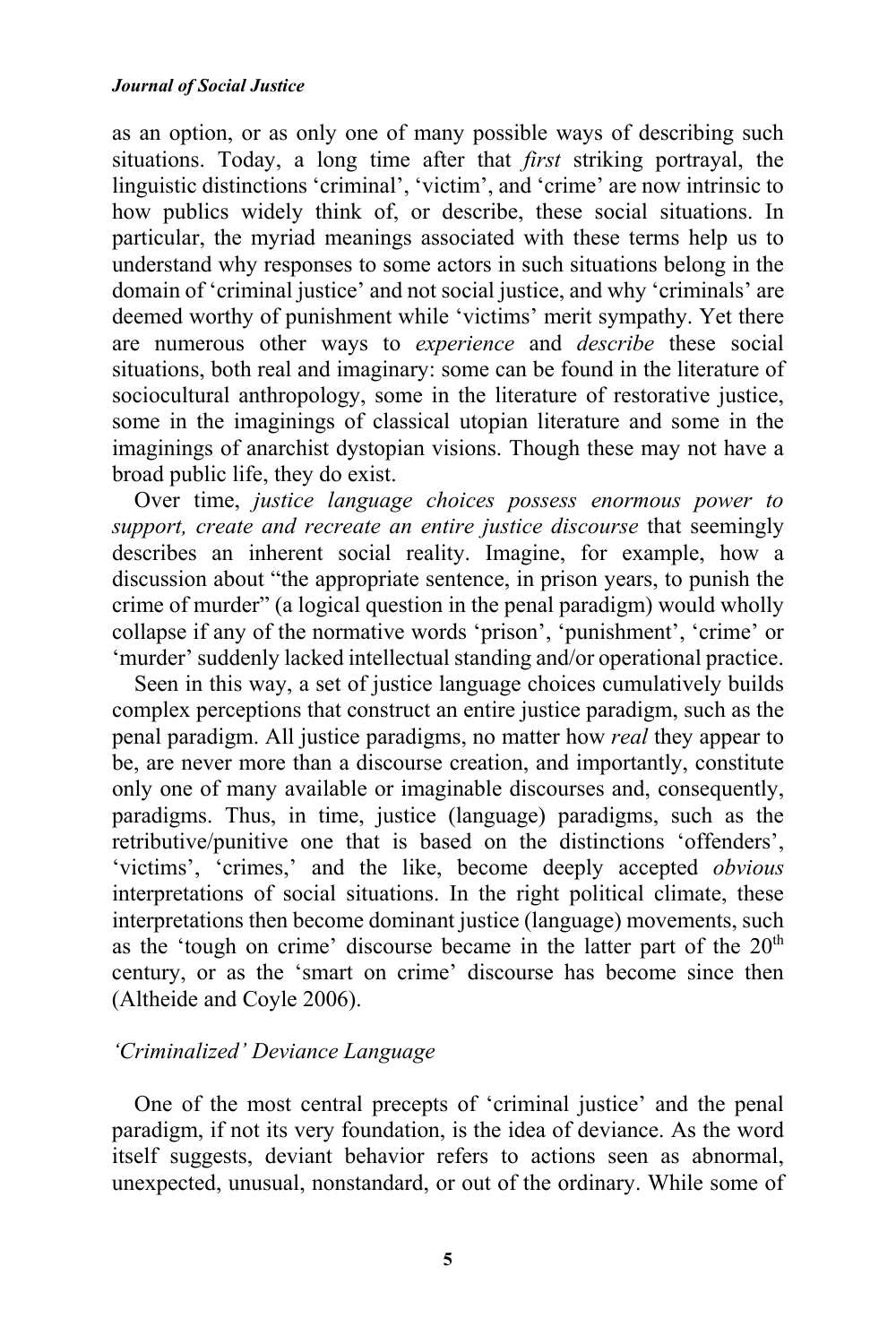as an option, or as only one of many possible ways of describing such situations. Today, a long time after that *first* striking portrayal, the linguistic distinctions 'criminal', 'victim', and 'crime' are now intrinsic to how publics widely think of, or describe, these social situations. In particular, the myriad meanings associated with these terms help us to understand why responses to some actors in such situations belong in the domain of 'criminal justice' and not social justice, and why 'criminals' are deemed worthy of punishment while 'victims' merit sympathy. Yet there are numerous other ways to *experience* and *describe* these social situations, both real and imaginary: some can be found in the literature of sociocultural anthropology, some in the literature of restorative justice, some in the imaginings of classical utopian literature and some in the imaginings of anarchist dystopian visions. Though these may not have a broad public life, they do exist.

Over time, *justice language choices possess enormous power to support, create and recreate an entire justice discourse* that seemingly describes an inherent social reality. Imagine, for example, how a discussion about "the appropriate sentence, in prison years, to punish the crime of murder" (a logical question in the penal paradigm) would wholly collapse if any of the normative words 'prison', 'punishment', 'crime' or 'murder' suddenly lacked intellectual standing and/or operational practice.

Seen in this way, a set of justice language choices cumulatively builds complex perceptions that construct an entire justice paradigm, such as the penal paradigm. All justice paradigms, no matter how *real* they appear to be, are never more than a discourse creation, and importantly, constitute only one of many available or imaginable discourses and, consequently, paradigms. Thus, in time, justice (language) paradigms, such as the retributive/punitive one that is based on the distinctions 'offenders', 'victims', 'crimes,' and the like, become deeply accepted *obvious* interpretations of social situations. In the right political climate, these interpretations then become dominant justice (language) movements, such as the 'tough on crime' discourse became in the latter part of the  $20<sup>th</sup>$ century, or as the 'smart on crime' discourse has become since then (Altheide and Coyle 2006).

# *'Criminalized' Deviance Language*

One of the most central precepts of 'criminal justice' and the penal paradigm, if not its very foundation, is the idea of deviance. As the word itself suggests, deviant behavior refers to actions seen as abnormal, unexpected, unusual, nonstandard, or out of the ordinary. While some of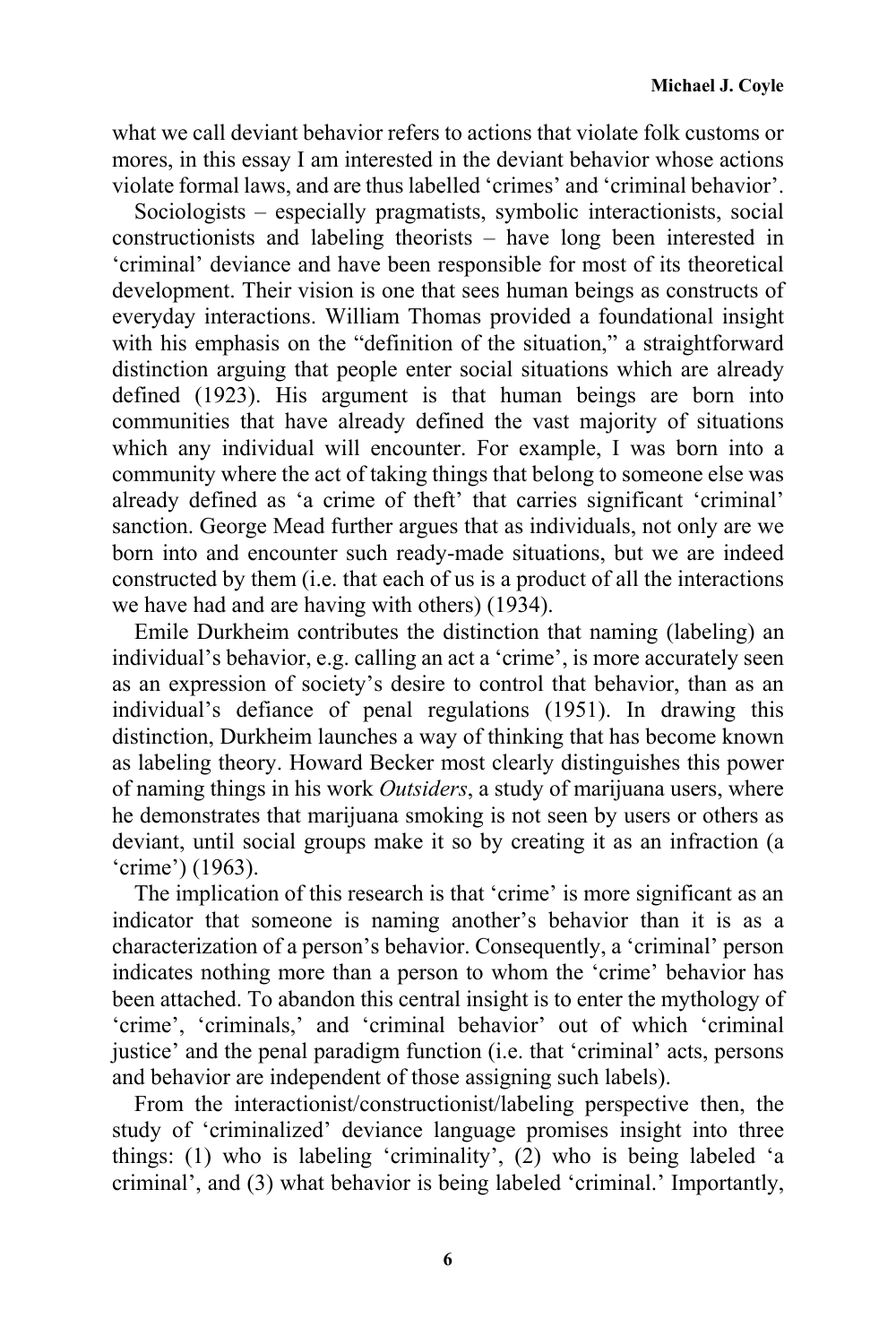what we call deviant behavior refers to actions that violate folk customs or mores, in this essay I am interested in the deviant behavior whose actions violate formal laws, and are thus labelled 'crimes' and 'criminal behavior'.

Sociologists – especially pragmatists, symbolic interactionists, social constructionists and labeling theorists – have long been interested in 'criminal' deviance and have been responsible for most of its theoretical development. Their vision is one that sees human beings as constructs of everyday interactions. William Thomas provided a foundational insight with his emphasis on the "definition of the situation," a straightforward distinction arguing that people enter social situations which are already defined (1923). His argument is that human beings are born into communities that have already defined the vast majority of situations which any individual will encounter. For example, I was born into a community where the act of taking things that belong to someone else was already defined as 'a crime of theft' that carries significant 'criminal' sanction. George Mead further argues that as individuals, not only are we born into and encounter such ready-made situations, but we are indeed constructed by them (i.e. that each of us is a product of all the interactions we have had and are having with others) (1934).

Emile Durkheim contributes the distinction that naming (labeling) an individual's behavior, e.g. calling an act a 'crime', is more accurately seen as an expression of society's desire to control that behavior, than as an individual's defiance of penal regulations (1951). In drawing this distinction, Durkheim launches a way of thinking that has become known as labeling theory. Howard Becker most clearly distinguishes this power of naming things in his work *Outsiders*, a study of marijuana users, where he demonstrates that marijuana smoking is not seen by users or others as deviant, until social groups make it so by creating it as an infraction (a 'crime') (1963).

The implication of this research is that 'crime' is more significant as an indicator that someone is naming another's behavior than it is as a characterization of a person's behavior. Consequently, a 'criminal' person indicates nothing more than a person to whom the 'crime' behavior has been attached. To abandon this central insight is to enter the mythology of 'crime', 'criminals,' and 'criminal behavior' out of which 'criminal justice' and the penal paradigm function (i.e. that 'criminal' acts, persons and behavior are independent of those assigning such labels).

From the interactionist/constructionist/labeling perspective then, the study of 'criminalized' deviance language promises insight into three things: (1) who is labeling 'criminality', (2) who is being labeled 'a criminal', and (3) what behavior is being labeled 'criminal.' Importantly,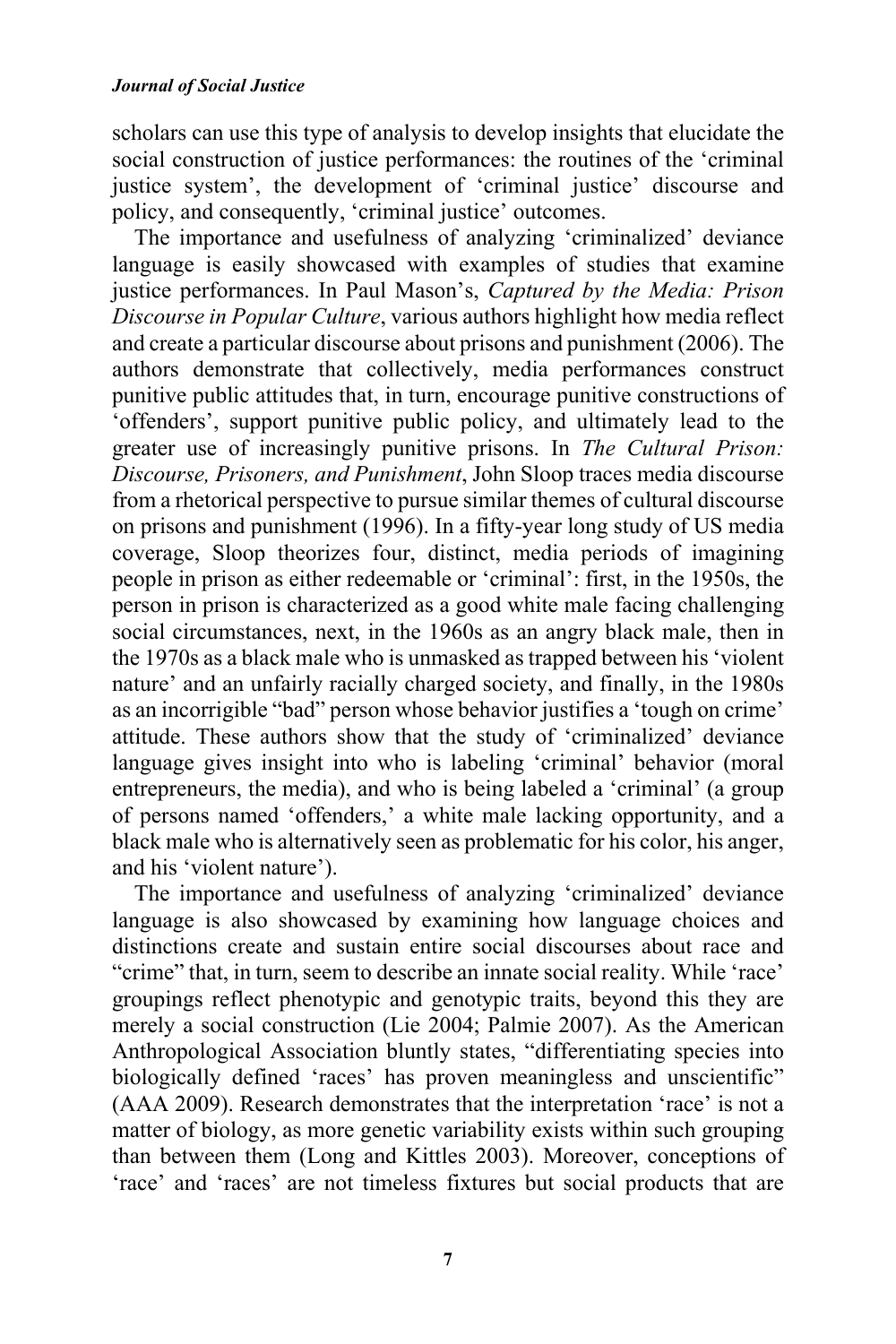scholars can use this type of analysis to develop insights that elucidate the social construction of justice performances: the routines of the 'criminal justice system', the development of 'criminal justice' discourse and policy, and consequently, 'criminal justice' outcomes.

The importance and usefulness of analyzing 'criminalized' deviance language is easily showcased with examples of studies that examine justice performances. In Paul Mason's, *Captured by the Media: Prison Discourse in Popular Culture*, various authors highlight how media reflect and create a particular discourse about prisons and punishment (2006). The authors demonstrate that collectively, media performances construct punitive public attitudes that, in turn, encourage punitive constructions of 'offenders', support punitive public policy, and ultimately lead to the greater use of increasingly punitive prisons. In *The Cultural Prison: Discourse, Prisoners, and Punishment*, John Sloop traces media discourse from a rhetorical perspective to pursue similar themes of cultural discourse on prisons and punishment (1996). In a fifty-year long study of US media coverage, Sloop theorizes four, distinct, media periods of imagining people in prison as either redeemable or 'criminal': first, in the 1950s, the person in prison is characterized as a good white male facing challenging social circumstances, next, in the 1960s as an angry black male, then in the 1970s as a black male who is unmasked as trapped between his 'violent nature' and an unfairly racially charged society, and finally, in the 1980s as an incorrigible "bad" person whose behavior justifies a 'tough on crime' attitude. These authors show that the study of 'criminalized' deviance language gives insight into who is labeling 'criminal' behavior (moral entrepreneurs, the media), and who is being labeled a 'criminal' (a group of persons named 'offenders,' a white male lacking opportunity, and a black male who is alternatively seen as problematic for his color, his anger, and his 'violent nature').

The importance and usefulness of analyzing 'criminalized' deviance language is also showcased by examining how language choices and distinctions create and sustain entire social discourses about race and "crime" that, in turn, seem to describe an innate social reality. While 'race' groupings reflect phenotypic and genotypic traits, beyond this they are merely a social construction (Lie 2004; Palmie 2007). As the American Anthropological Association bluntly states, "differentiating species into biologically defined 'races' has proven meaningless and unscientific" (AAA 2009). Research demonstrates that the interpretation 'race' is not a matter of biology, as more genetic variability exists within such grouping than between them (Long and Kittles 2003). Moreover, conceptions of 'race' and 'races' are not timeless fixtures but social products that are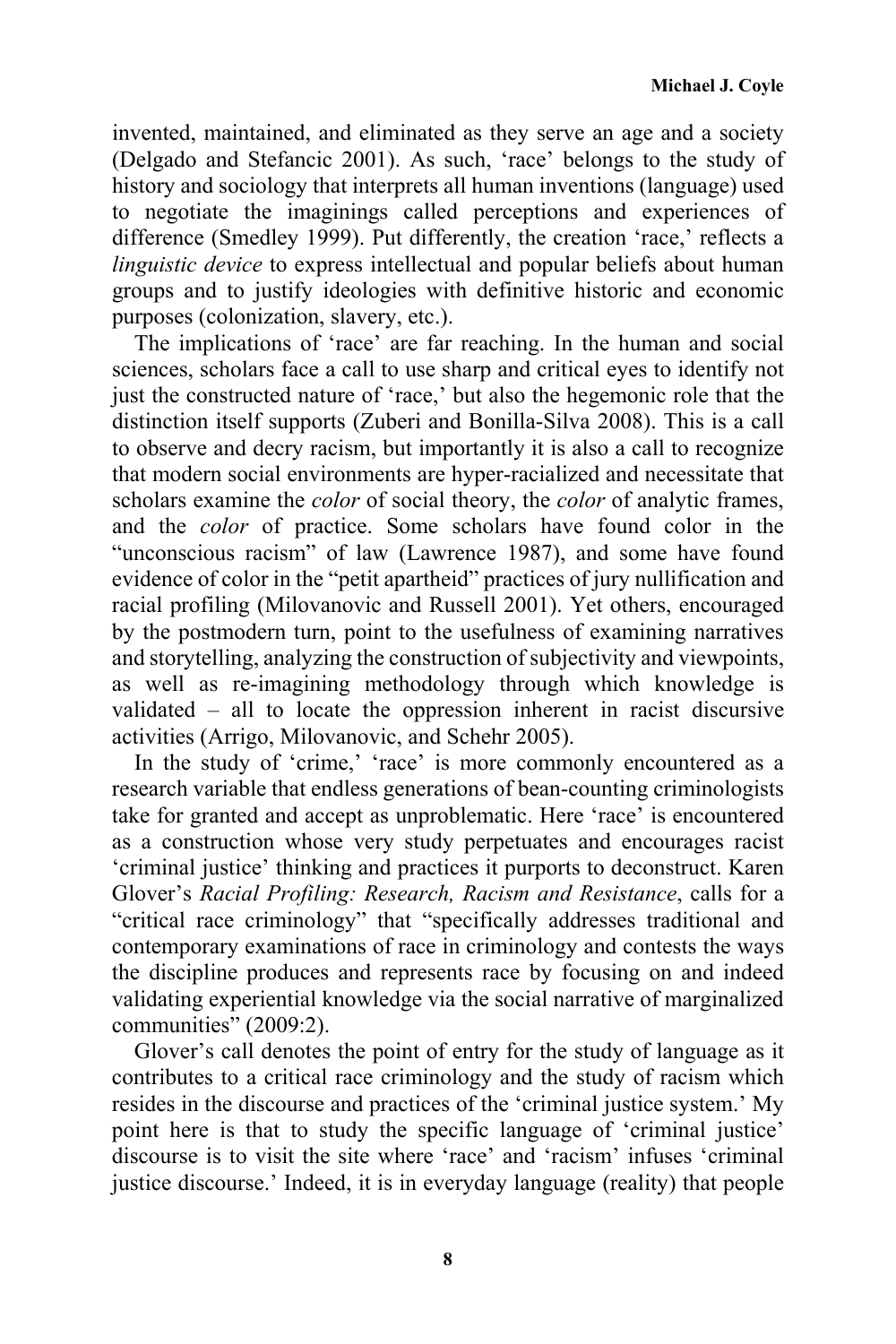invented, maintained, and eliminated as they serve an age and a society (Delgado and Stefancic 2001). As such, 'race' belongs to the study of history and sociology that interprets all human inventions (language) used to negotiate the imaginings called perceptions and experiences of difference (Smedley 1999). Put differently, the creation 'race,' reflects a *linguistic device* to express intellectual and popular beliefs about human groups and to justify ideologies with definitive historic and economic purposes (colonization, slavery, etc.).

The implications of 'race' are far reaching. In the human and social sciences, scholars face a call to use sharp and critical eyes to identify not just the constructed nature of 'race,' but also the hegemonic role that the distinction itself supports (Zuberi and Bonilla-Silva 2008). This is a call to observe and decry racism, but importantly it is also a call to recognize that modern social environments are hyper-racialized and necessitate that scholars examine the *color* of social theory, the *color* of analytic frames, and the *color* of practice. Some scholars have found color in the "unconscious racism" of law (Lawrence 1987), and some have found evidence of color in the "petit apartheid" practices of jury nullification and racial profiling (Milovanovic and Russell 2001). Yet others, encouraged by the postmodern turn, point to the usefulness of examining narratives and storytelling, analyzing the construction of subjectivity and viewpoints, as well as re-imagining methodology through which knowledge is validated – all to locate the oppression inherent in racist discursive activities (Arrigo, Milovanovic, and Schehr 2005).

In the study of 'crime,' 'race' is more commonly encountered as a research variable that endless generations of bean-counting criminologists take for granted and accept as unproblematic. Here 'race' is encountered as a construction whose very study perpetuates and encourages racist 'criminal justice' thinking and practices it purports to deconstruct. Karen Glover's *Racial Profiling: Research, Racism and Resistance*, calls for a "critical race criminology" that "specifically addresses traditional and contemporary examinations of race in criminology and contests the ways the discipline produces and represents race by focusing on and indeed validating experiential knowledge via the social narrative of marginalized communities" (2009:2).

Glover's call denotes the point of entry for the study of language as it contributes to a critical race criminology and the study of racism which resides in the discourse and practices of the 'criminal justice system.' My point here is that to study the specific language of 'criminal justice' discourse is to visit the site where 'race' and 'racism' infuses 'criminal justice discourse.' Indeed, it is in everyday language (reality) that people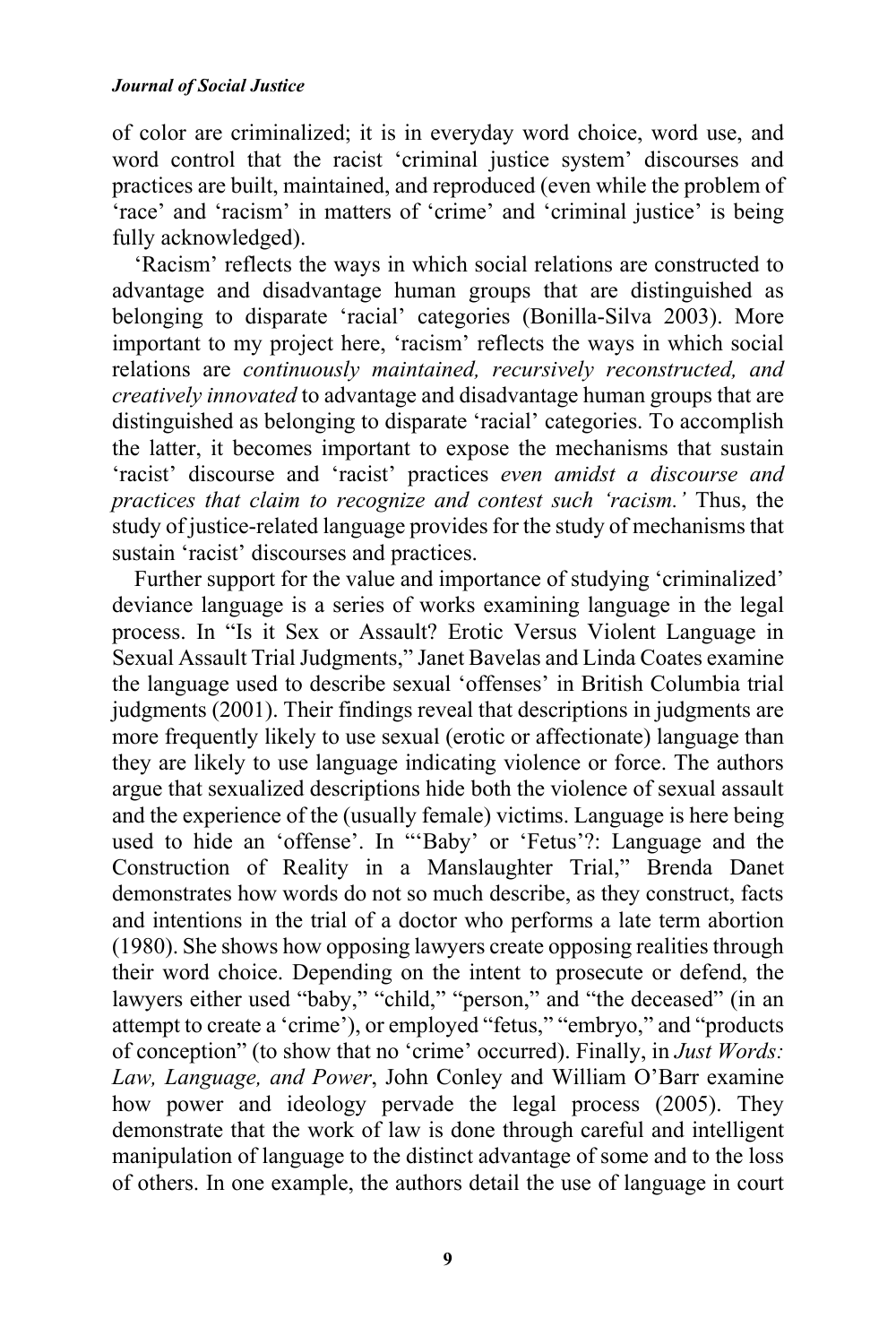#### *Journal of Social Justice*

of color are criminalized; it is in everyday word choice, word use, and word control that the racist 'criminal justice system' discourses and practices are built, maintained, and reproduced (even while the problem of 'race' and 'racism' in matters of 'crime' and 'criminal justice' is being fully acknowledged).

'Racism' reflects the ways in which social relations are constructed to advantage and disadvantage human groups that are distinguished as belonging to disparate 'racial' categories (Bonilla-Silva 2003). More important to my project here, 'racism' reflects the ways in which social relations are *continuously maintained, recursively reconstructed, and creatively innovated* to advantage and disadvantage human groups that are distinguished as belonging to disparate 'racial' categories. To accomplish the latter, it becomes important to expose the mechanisms that sustain 'racist' discourse and 'racist' practices *even amidst a discourse and practices that claim to recognize and contest such 'racism.'* Thus, the study of justice-related language provides for the study of mechanisms that sustain 'racist' discourses and practices.

Further support for the value and importance of studying 'criminalized' deviance language is a series of works examining language in the legal process. In "Is it Sex or Assault? Erotic Versus Violent Language in Sexual Assault Trial Judgments," Janet Bavelas and Linda Coates examine the language used to describe sexual 'offenses' in British Columbia trial judgments (2001). Their findings reveal that descriptions in judgments are more frequently likely to use sexual (erotic or affectionate) language than they are likely to use language indicating violence or force. The authors argue that sexualized descriptions hide both the violence of sexual assault and the experience of the (usually female) victims. Language is here being used to hide an 'offense'. In "'Baby' or 'Fetus'?: Language and the Construction of Reality in a Manslaughter Trial," Brenda Danet demonstrates how words do not so much describe, as they construct, facts and intentions in the trial of a doctor who performs a late term abortion (1980). She shows how opposing lawyers create opposing realities through their word choice. Depending on the intent to prosecute or defend, the lawyers either used "baby," "child," "person," and "the deceased" (in an attempt to create a 'crime'), or employed "fetus," "embryo," and "products of conception" (to show that no 'crime' occurred). Finally, in *Just Words: Law, Language, and Power*, John Conley and William O'Barr examine how power and ideology pervade the legal process (2005). They demonstrate that the work of law is done through careful and intelligent manipulation of language to the distinct advantage of some and to the loss of others. In one example, the authors detail the use of language in court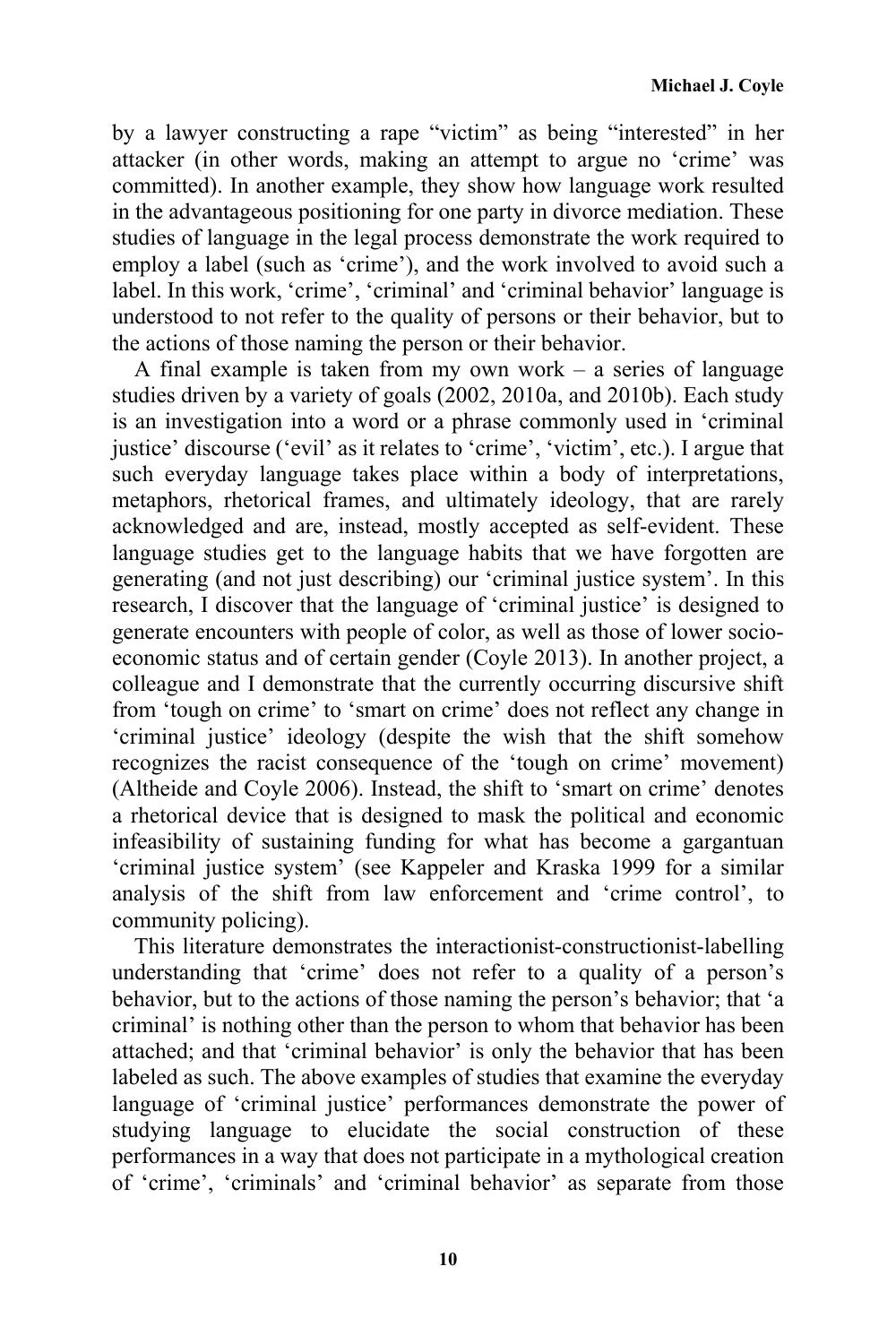by a lawyer constructing a rape "victim" as being "interested" in her attacker (in other words, making an attempt to argue no 'crime' was committed). In another example, they show how language work resulted in the advantageous positioning for one party in divorce mediation. These studies of language in the legal process demonstrate the work required to employ a label (such as 'crime'), and the work involved to avoid such a label. In this work, 'crime', 'criminal' and 'criminal behavior' language is understood to not refer to the quality of persons or their behavior, but to the actions of those naming the person or their behavior.

A final example is taken from my own work – a series of language studies driven by a variety of goals (2002, 2010a, and 2010b). Each study is an investigation into a word or a phrase commonly used in 'criminal justice' discourse ('evil' as it relates to 'crime', 'victim', etc.). I argue that such everyday language takes place within a body of interpretations, metaphors, rhetorical frames, and ultimately ideology, that are rarely acknowledged and are, instead, mostly accepted as self-evident. These language studies get to the language habits that we have forgotten are generating (and not just describing) our 'criminal justice system'. In this research, I discover that the language of 'criminal justice' is designed to generate encounters with people of color, as well as those of lower socioeconomic status and of certain gender (Coyle 2013). In another project, a colleague and I demonstrate that the currently occurring discursive shift from 'tough on crime' to 'smart on crime' does not reflect any change in 'criminal justice' ideology (despite the wish that the shift somehow recognizes the racist consequence of the 'tough on crime' movement) (Altheide and Coyle 2006). Instead, the shift to 'smart on crime' denotes a rhetorical device that is designed to mask the political and economic infeasibility of sustaining funding for what has become a gargantuan 'criminal justice system' (see Kappeler and Kraska 1999 for a similar analysis of the shift from law enforcement and 'crime control', to community policing).

This literature demonstrates the interactionist-constructionist-labelling understanding that 'crime' does not refer to a quality of a person's behavior, but to the actions of those naming the person's behavior; that 'a criminal' is nothing other than the person to whom that behavior has been attached; and that 'criminal behavior' is only the behavior that has been labeled as such. The above examples of studies that examine the everyday language of 'criminal justice' performances demonstrate the power of studying language to elucidate the social construction of these performances in a way that does not participate in a mythological creation of 'crime', 'criminals' and 'criminal behavior' as separate from those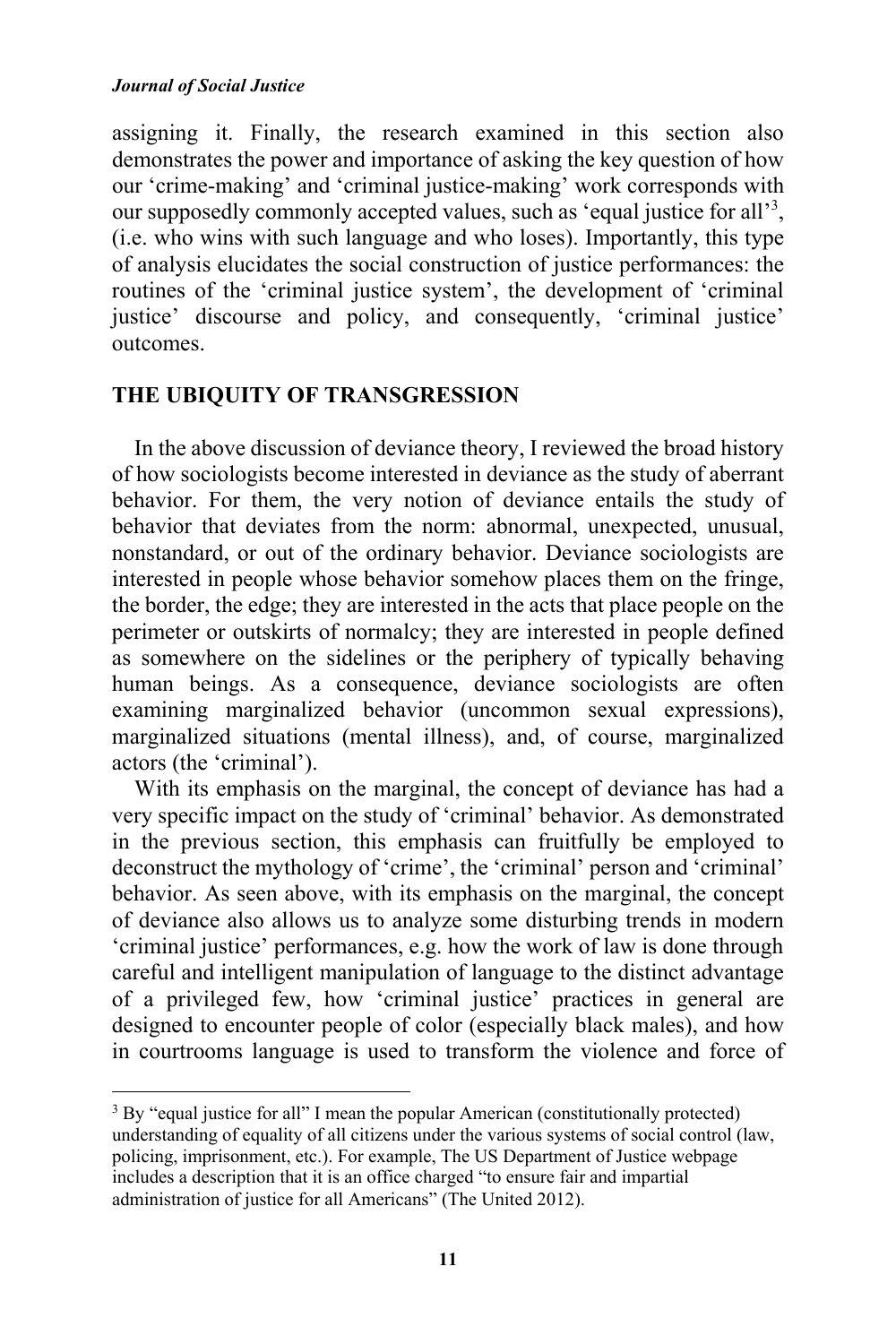#### *Journal of Social Justice*

assigning it. Finally, the research examined in this section also demonstrates the power and importance of asking the key question of how our 'crime-making' and 'criminal justice-making' work corresponds with our supposedly commonly accepted values, such as 'equal justice for all'<sup>3</sup>, (i.e. who wins with such language and who loses). Importantly, this type of analysis elucidates the social construction of justice performances: the routines of the 'criminal justice system', the development of 'criminal justice' discourse and policy, and consequently, 'criminal justice' outcomes.

## **THE UBIQUITY OF TRANSGRESSION**

 

In the above discussion of deviance theory, I reviewed the broad history of how sociologists become interested in deviance as the study of aberrant behavior. For them, the very notion of deviance entails the study of behavior that deviates from the norm: abnormal, unexpected, unusual, nonstandard, or out of the ordinary behavior. Deviance sociologists are interested in people whose behavior somehow places them on the fringe, the border, the edge; they are interested in the acts that place people on the perimeter or outskirts of normalcy; they are interested in people defined as somewhere on the sidelines or the periphery of typically behaving human beings. As a consequence, deviance sociologists are often examining marginalized behavior (uncommon sexual expressions), marginalized situations (mental illness), and, of course, marginalized actors (the 'criminal').

With its emphasis on the marginal, the concept of deviance has had a very specific impact on the study of 'criminal' behavior. As demonstrated in the previous section, this emphasis can fruitfully be employed to deconstruct the mythology of 'crime', the 'criminal' person and 'criminal' behavior. As seen above, with its emphasis on the marginal, the concept of deviance also allows us to analyze some disturbing trends in modern 'criminal justice' performances, e.g. how the work of law is done through careful and intelligent manipulation of language to the distinct advantage of a privileged few, how 'criminal justice' practices in general are designed to encounter people of color (especially black males), and how in courtrooms language is used to transform the violence and force of

<sup>&</sup>lt;sup>3</sup> By "equal justice for all" I mean the popular American (constitutionally protected) understanding of equality of all citizens under the various systems of social control (law, policing, imprisonment, etc.). For example, The US Department of Justice webpage includes a description that it is an office charged "to ensure fair and impartial administration of justice for all Americans" (The United 2012).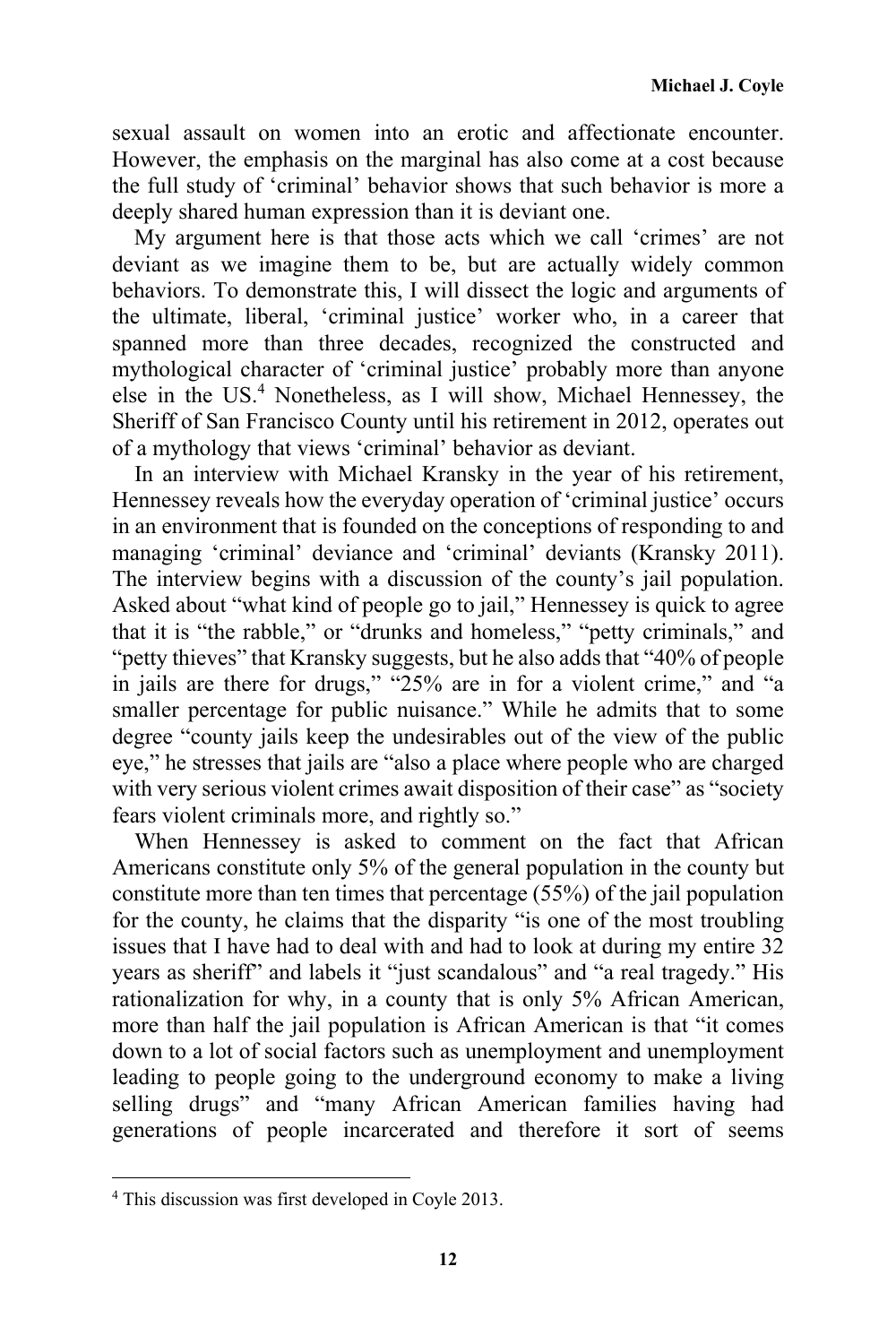sexual assault on women into an erotic and affectionate encounter. However, the emphasis on the marginal has also come at a cost because the full study of 'criminal' behavior shows that such behavior is more a deeply shared human expression than it is deviant one.

My argument here is that those acts which we call 'crimes' are not deviant as we imagine them to be, but are actually widely common behaviors. To demonstrate this, I will dissect the logic and arguments of the ultimate, liberal, 'criminal justice' worker who, in a career that spanned more than three decades, recognized the constructed and mythological character of 'criminal justice' probably more than anyone else in the US.<sup>4</sup> Nonetheless, as I will show, Michael Hennessey, the Sheriff of San Francisco County until his retirement in 2012, operates out of a mythology that views 'criminal' behavior as deviant.

In an interview with Michael Kransky in the year of his retirement, Hennessey reveals how the everyday operation of 'criminal justice' occurs in an environment that is founded on the conceptions of responding to and managing 'criminal' deviance and 'criminal' deviants (Kransky 2011). The interview begins with a discussion of the county's jail population. Asked about "what kind of people go to jail," Hennessey is quick to agree that it is "the rabble," or "drunks and homeless," "petty criminals," and "petty thieves" that Kransky suggests, but he also adds that "40% of people in jails are there for drugs," "25% are in for a violent crime," and "a smaller percentage for public nuisance." While he admits that to some degree "county jails keep the undesirables out of the view of the public eye," he stresses that jails are "also a place where people who are charged with very serious violent crimes await disposition of their case" as "society" fears violent criminals more, and rightly so."

When Hennessey is asked to comment on the fact that African Americans constitute only 5% of the general population in the county but constitute more than ten times that percentage (55%) of the jail population for the county, he claims that the disparity "is one of the most troubling issues that I have had to deal with and had to look at during my entire 32 years as sheriff" and labels it "just scandalous" and "a real tragedy." His rationalization for why, in a county that is only 5% African American, more than half the jail population is African American is that "it comes down to a lot of social factors such as unemployment and unemployment leading to people going to the underground economy to make a living selling drugs" and "many African American families having had generations of people incarcerated and therefore it sort of seems

<u> 1989 - Johann Stein, fransk politik (d. 1989)</u>

<sup>4</sup> This discussion was first developed in Coyle 2013.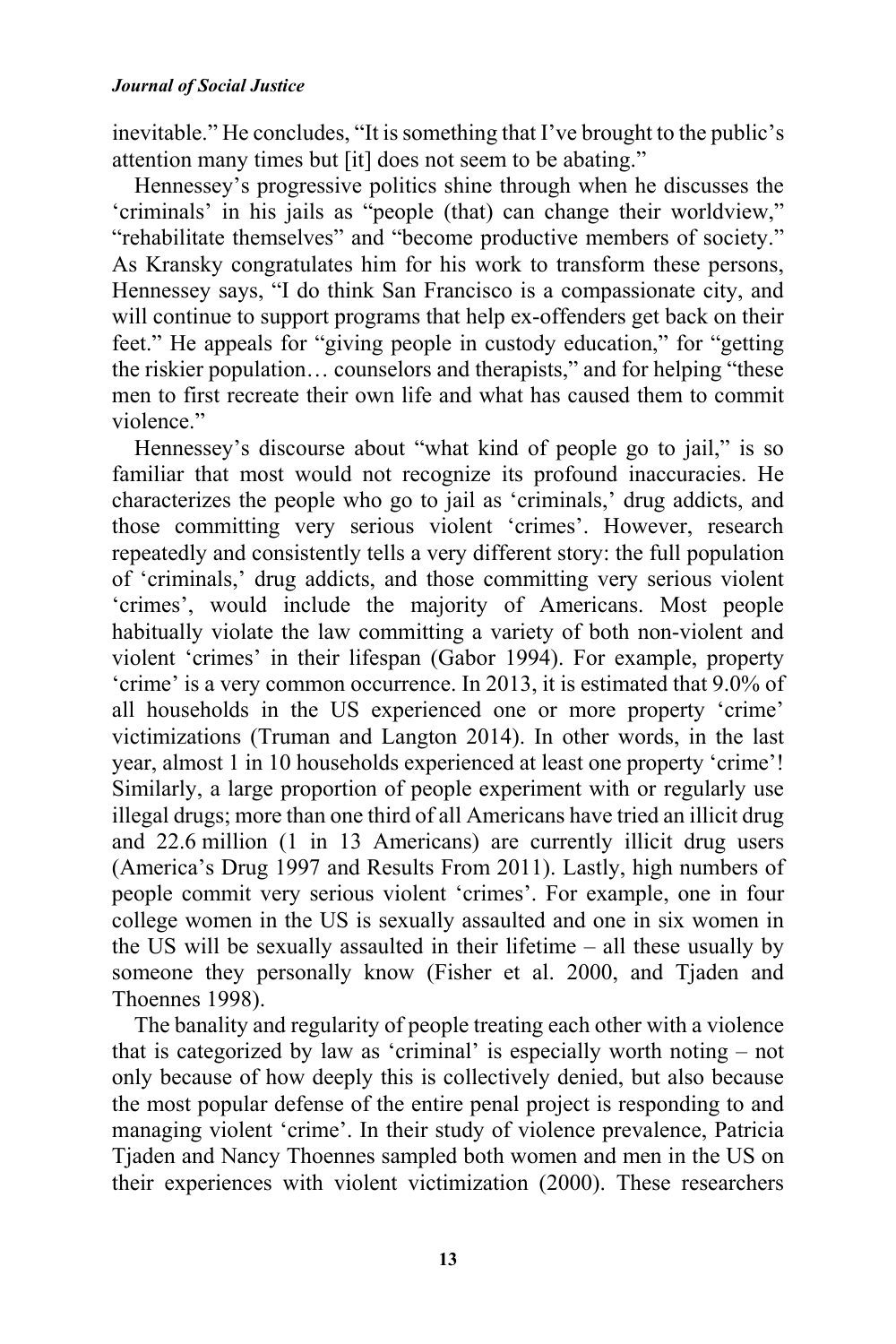inevitable." He concludes, "It is something that I've brought to the public's attention many times but [it] does not seem to be abating."

Hennessey's progressive politics shine through when he discusses the 'criminals' in his jails as "people (that) can change their worldview," "rehabilitate themselves" and "become productive members of society." As Kransky congratulates him for his work to transform these persons, Hennessey says, "I do think San Francisco is a compassionate city, and will continue to support programs that help ex-offenders get back on their feet." He appeals for "giving people in custody education," for "getting the riskier population… counselors and therapists," and for helping "these men to first recreate their own life and what has caused them to commit violence"

Hennessey's discourse about "what kind of people go to jail," is so familiar that most would not recognize its profound inaccuracies. He characterizes the people who go to jail as 'criminals,' drug addicts, and those committing very serious violent 'crimes'. However, research repeatedly and consistently tells a very different story: the full population of 'criminals,' drug addicts, and those committing very serious violent 'crimes', would include the majority of Americans. Most people habitually violate the law committing a variety of both non-violent and violent 'crimes' in their lifespan (Gabor 1994). For example, property 'crime' is a very common occurrence. In 2013, it is estimated that 9.0% of all households in the US experienced one or more property 'crime' victimizations (Truman and Langton 2014). In other words, in the last year, almost 1 in 10 households experienced at least one property 'crime'! Similarly, a large proportion of people experiment with or regularly use illegal drugs; more than one third of all Americans have tried an illicit drug and 22.6 million (1 in 13 Americans) are currently illicit drug users (America's Drug 1997 and Results From 2011). Lastly, high numbers of people commit very serious violent 'crimes'. For example, one in four college women in the US is sexually assaulted and one in six women in the US will be sexually assaulted in their lifetime – all these usually by someone they personally know (Fisher et al. 2000, and Tjaden and Thoennes 1998).

The banality and regularity of people treating each other with a violence that is categorized by law as 'criminal' is especially worth noting – not only because of how deeply this is collectively denied, but also because the most popular defense of the entire penal project is responding to and managing violent 'crime'. In their study of violence prevalence, Patricia Tjaden and Nancy Thoennes sampled both women and men in the US on their experiences with violent victimization (2000). These researchers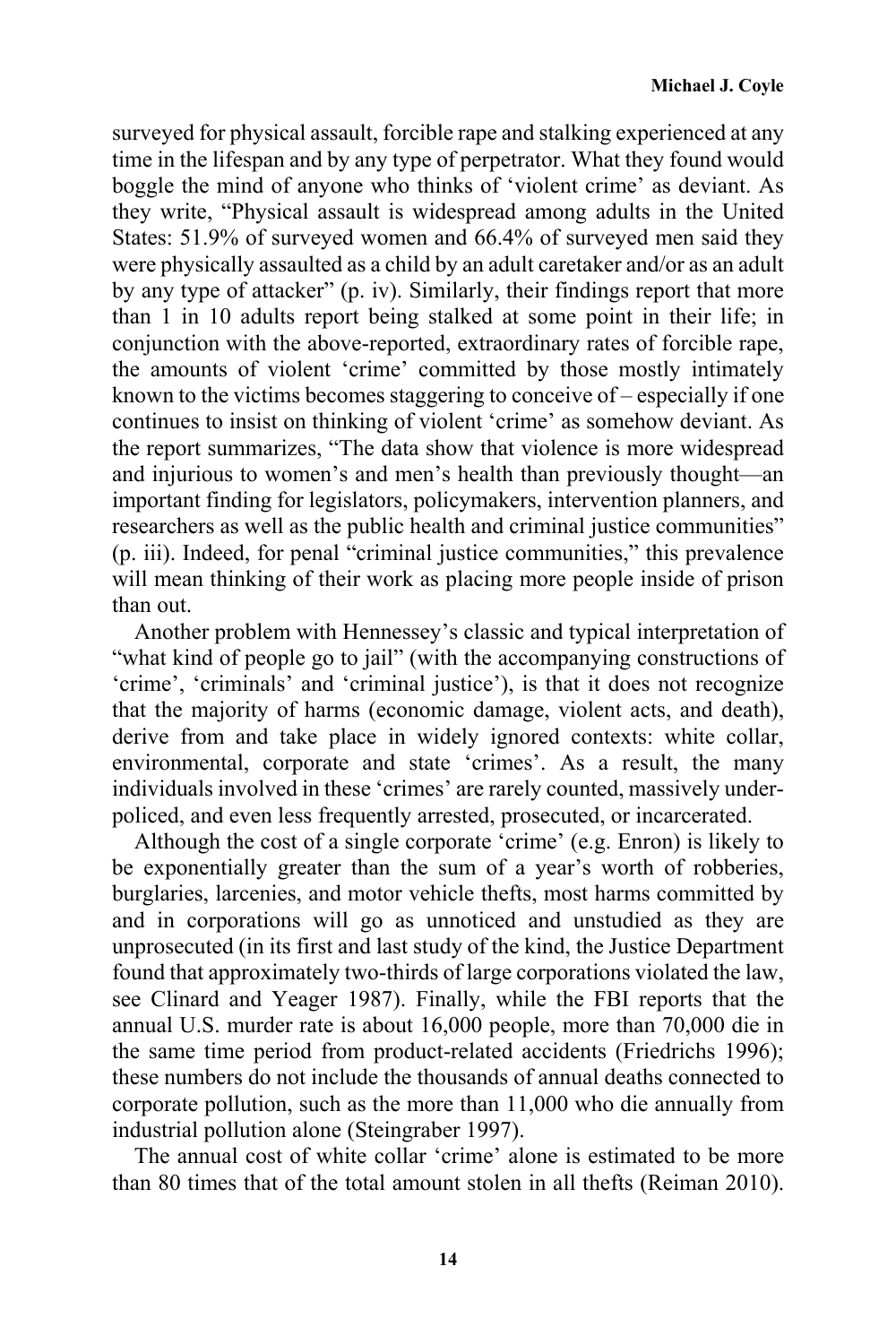surveyed for physical assault, forcible rape and stalking experienced at any time in the lifespan and by any type of perpetrator. What they found would boggle the mind of anyone who thinks of 'violent crime' as deviant. As they write, "Physical assault is widespread among adults in the United States: 51.9% of surveyed women and 66.4% of surveyed men said they were physically assaulted as a child by an adult caretaker and/or as an adult by any type of attacker" (p. iv). Similarly, their findings report that more than 1 in 10 adults report being stalked at some point in their life; in conjunction with the above-reported, extraordinary rates of forcible rape, the amounts of violent 'crime' committed by those mostly intimately known to the victims becomes staggering to conceive of – especially if one continues to insist on thinking of violent 'crime' as somehow deviant. As the report summarizes, "The data show that violence is more widespread and injurious to women's and men's health than previously thought—an important finding for legislators, policymakers, intervention planners, and researchers as well as the public health and criminal justice communities" (p. iii). Indeed, for penal "criminal justice communities," this prevalence will mean thinking of their work as placing more people inside of prison than out.

Another problem with Hennessey's classic and typical interpretation of "what kind of people go to jail" (with the accompanying constructions of 'crime', 'criminals' and 'criminal justice'), is that it does not recognize that the majority of harms (economic damage, violent acts, and death), derive from and take place in widely ignored contexts: white collar, environmental, corporate and state 'crimes'. As a result, the many individuals involved in these 'crimes' are rarely counted, massively underpoliced, and even less frequently arrested, prosecuted, or incarcerated.

Although the cost of a single corporate 'crime' (e.g. Enron) is likely to be exponentially greater than the sum of a year's worth of robberies, burglaries, larcenies, and motor vehicle thefts, most harms committed by and in corporations will go as unnoticed and unstudied as they are unprosecuted (in its first and last study of the kind, the Justice Department found that approximately two-thirds of large corporations violated the law, see Clinard and Yeager 1987). Finally, while the FBI reports that the annual U.S. murder rate is about 16,000 people, more than 70,000 die in the same time period from product-related accidents (Friedrichs 1996); these numbers do not include the thousands of annual deaths connected to corporate pollution, such as the more than 11,000 who die annually from industrial pollution alone (Steingraber 1997).

The annual cost of white collar 'crime' alone is estimated to be more than 80 times that of the total amount stolen in all thefts (Reiman 2010).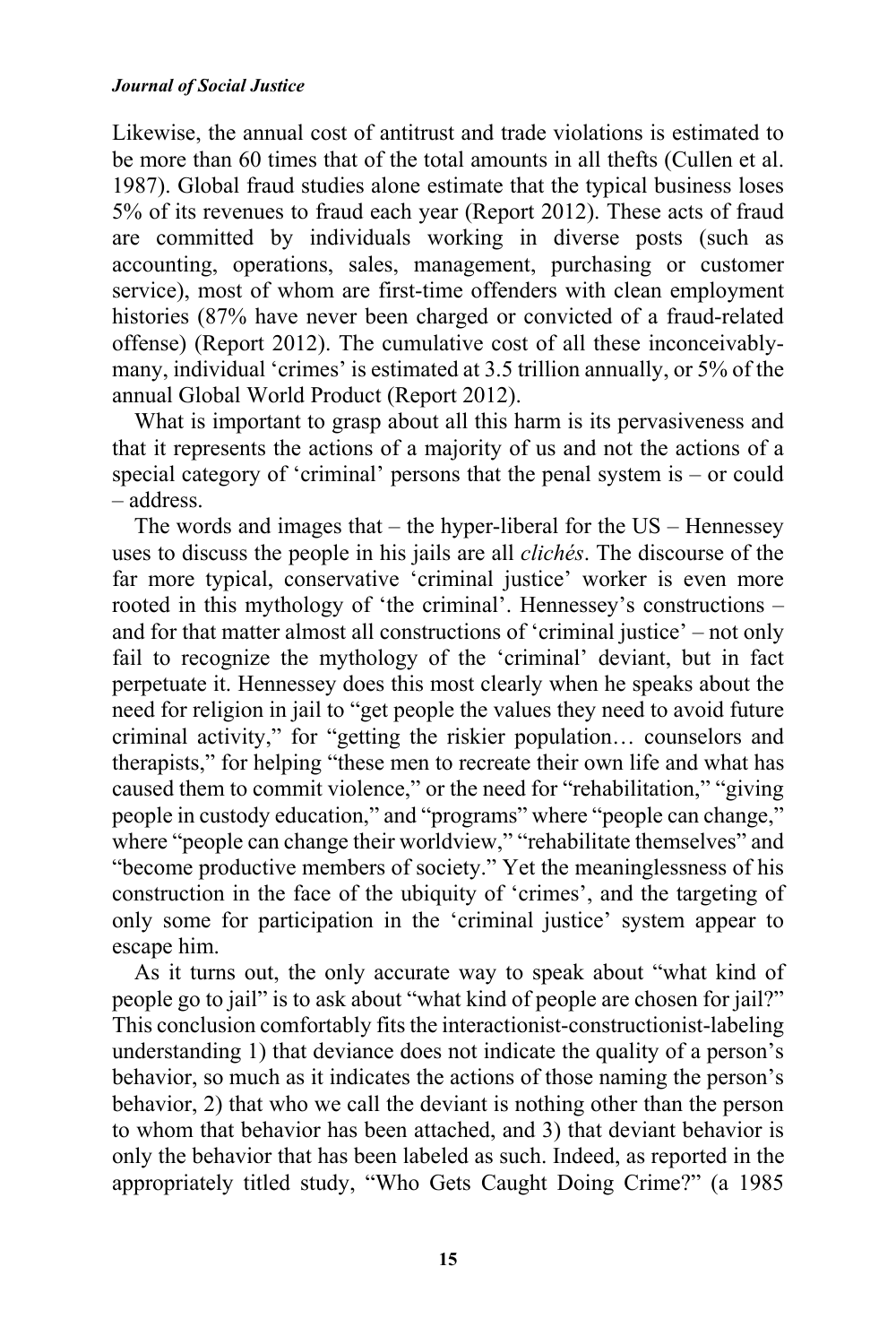#### *Journal of Social Justice*

Likewise, the annual cost of antitrust and trade violations is estimated to be more than 60 times that of the total amounts in all thefts (Cullen et al. 1987). Global fraud studies alone estimate that the typical business loses 5% of its revenues to fraud each year (Report 2012). These acts of fraud are committed by individuals working in diverse posts (such as accounting, operations, sales, management, purchasing or customer service), most of whom are first-time offenders with clean employment histories (87% have never been charged or convicted of a fraud-related offense) (Report 2012). The cumulative cost of all these inconceivablymany, individual 'crimes' is estimated at 3.5 trillion annually, or 5% of the annual Global World Product (Report 2012).

What is important to grasp about all this harm is its pervasiveness and that it represents the actions of a majority of us and not the actions of a special category of 'criminal' persons that the penal system is – or could – address.

The words and images that – the hyper-liberal for the US – Hennessey uses to discuss the people in his jails are all *clichés*. The discourse of the far more typical, conservative 'criminal justice' worker is even more rooted in this mythology of 'the criminal'. Hennessey's constructions – and for that matter almost all constructions of 'criminal justice' – not only fail to recognize the mythology of the 'criminal' deviant, but in fact perpetuate it. Hennessey does this most clearly when he speaks about the need for religion in jail to "get people the values they need to avoid future criminal activity," for "getting the riskier population… counselors and therapists," for helping "these men to recreate their own life and what has caused them to commit violence," or the need for "rehabilitation," "giving people in custody education," and "programs" where "people can change," where "people can change their worldview," "rehabilitate themselves" and "become productive members of society." Yet the meaninglessness of his construction in the face of the ubiquity of 'crimes', and the targeting of only some for participation in the 'criminal justice' system appear to escape him.

As it turns out, the only accurate way to speak about "what kind of people go to jail" is to ask about "what kind of people are chosen for jail?" This conclusion comfortably fits the interactionist-constructionist-labeling understanding 1) that deviance does not indicate the quality of a person's behavior, so much as it indicates the actions of those naming the person's behavior, 2) that who we call the deviant is nothing other than the person to whom that behavior has been attached, and 3) that deviant behavior is only the behavior that has been labeled as such. Indeed, as reported in the appropriately titled study, "Who Gets Caught Doing Crime?" (a 1985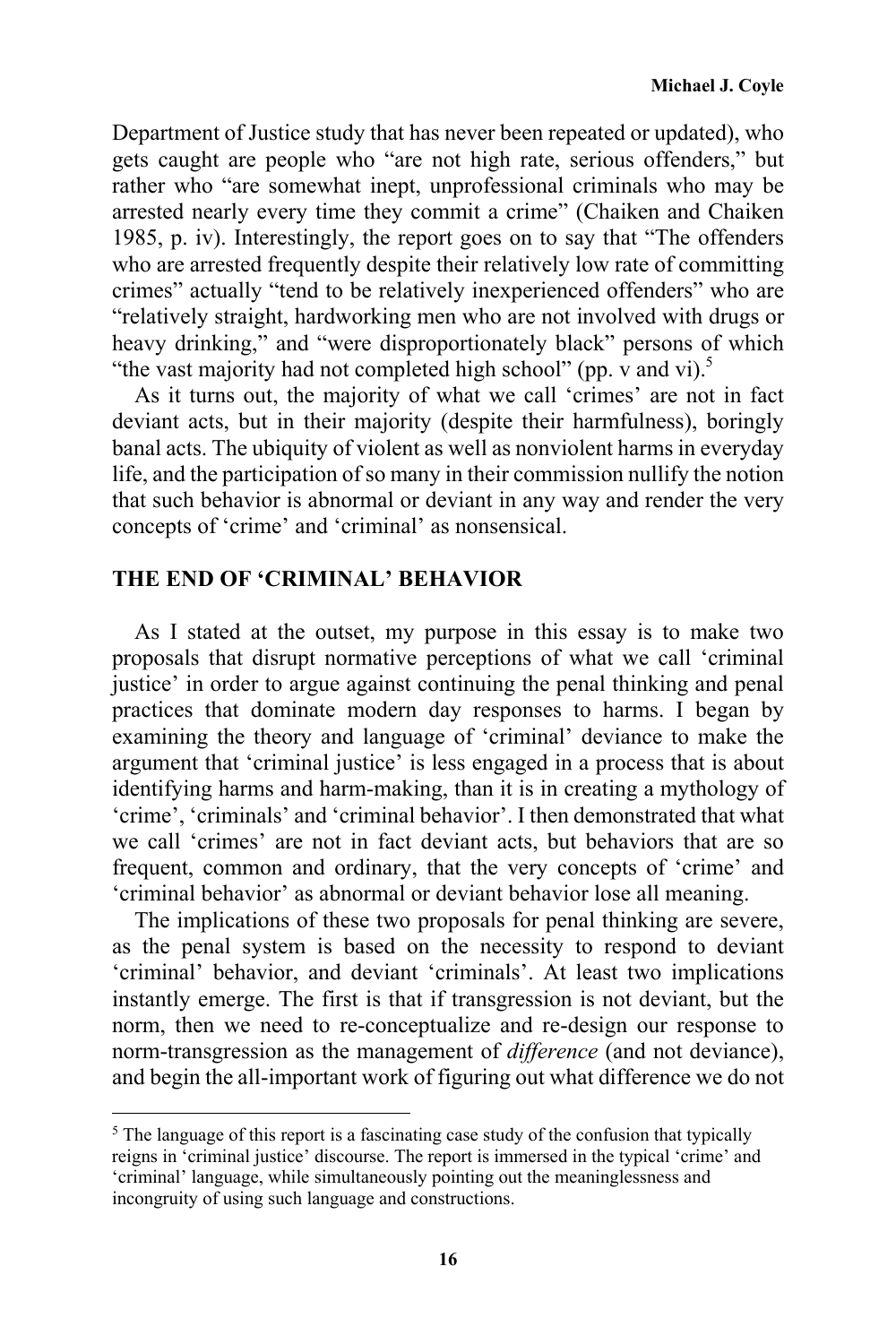Department of Justice study that has never been repeated or updated), who gets caught are people who "are not high rate, serious offenders," but rather who "are somewhat inept, unprofessional criminals who may be arrested nearly every time they commit a crime" (Chaiken and Chaiken 1985, p. iv). Interestingly, the report goes on to say that "The offenders who are arrested frequently despite their relatively low rate of committing crimes" actually "tend to be relatively inexperienced offenders" who are "relatively straight, hardworking men who are not involved with drugs or heavy drinking," and "were disproportionately black" persons of which "the vast majority had not completed high school" (pp. v and vi).<sup>5</sup>

As it turns out, the majority of what we call 'crimes' are not in fact deviant acts, but in their majority (despite their harmfulness), boringly banal acts. The ubiquity of violent as well as nonviolent harms in everyday life, and the participation of so many in their commission nullify the notion that such behavior is abnormal or deviant in any way and render the very concepts of 'crime' and 'criminal' as nonsensical.

## **THE END OF 'CRIMINAL' BEHAVIOR**

<u> 1989 - Johann Stein, fransk politik (d. 1989)</u>

As I stated at the outset, my purpose in this essay is to make two proposals that disrupt normative perceptions of what we call 'criminal justice' in order to argue against continuing the penal thinking and penal practices that dominate modern day responses to harms. I began by examining the theory and language of 'criminal' deviance to make the argument that 'criminal justice' is less engaged in a process that is about identifying harms and harm-making, than it is in creating a mythology of 'crime', 'criminals' and 'criminal behavior'. I then demonstrated that what we call 'crimes' are not in fact deviant acts, but behaviors that are so frequent, common and ordinary, that the very concepts of 'crime' and 'criminal behavior' as abnormal or deviant behavior lose all meaning.

The implications of these two proposals for penal thinking are severe, as the penal system is based on the necessity to respond to deviant 'criminal' behavior, and deviant 'criminals'. At least two implications instantly emerge. The first is that if transgression is not deviant, but the norm, then we need to re-conceptualize and re-design our response to norm-transgression as the management of *difference* (and not deviance), and begin the all-important work of figuring out what difference we do not

<sup>&</sup>lt;sup>5</sup> The language of this report is a fascinating case study of the confusion that typically reigns in 'criminal justice' discourse. The report is immersed in the typical 'crime' and 'criminal' language, while simultaneously pointing out the meaninglessness and incongruity of using such language and constructions.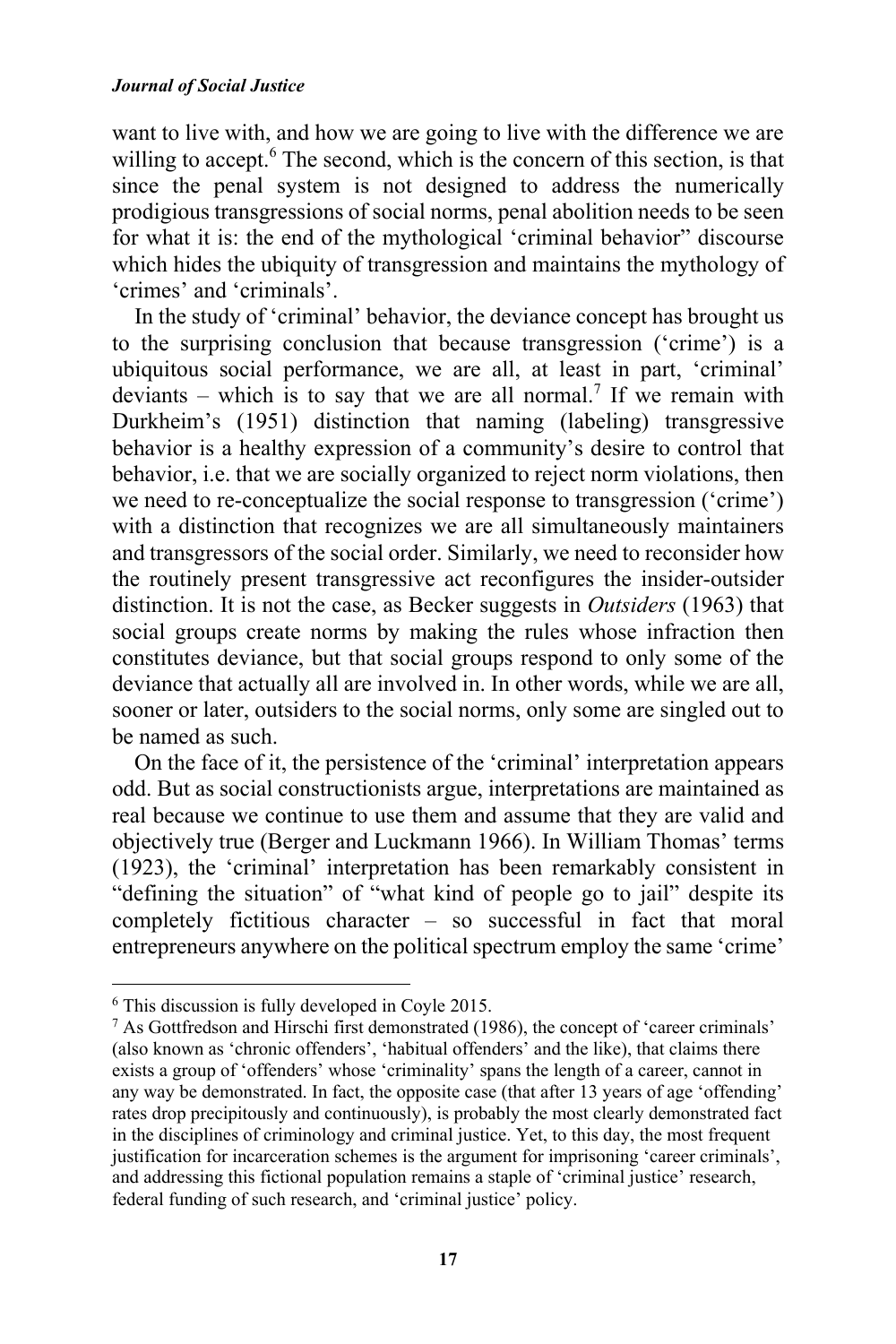want to live with, and how we are going to live with the difference we are willing to accept.<sup>6</sup> The second, which is the concern of this section, is that since the penal system is not designed to address the numerically prodigious transgressions of social norms, penal abolition needs to be seen for what it is: the end of the mythological 'criminal behavior" discourse which hides the ubiquity of transgression and maintains the mythology of 'crimes' and 'criminals'.

In the study of 'criminal' behavior, the deviance concept has brought us to the surprising conclusion that because transgression ('crime') is a ubiquitous social performance, we are all, at least in part, 'criminal' deviants – which is to say that we are all normal.<sup>7</sup> If we remain with Durkheim's (1951) distinction that naming (labeling) transgressive behavior is a healthy expression of a community's desire to control that behavior, i.e. that we are socially organized to reject norm violations, then we need to re-conceptualize the social response to transgression ('crime') with a distinction that recognizes we are all simultaneously maintainers and transgressors of the social order. Similarly, we need to reconsider how the routinely present transgressive act reconfigures the insider-outsider distinction. It is not the case, as Becker suggests in *Outsiders* (1963) that social groups create norms by making the rules whose infraction then constitutes deviance, but that social groups respond to only some of the deviance that actually all are involved in. In other words, while we are all, sooner or later, outsiders to the social norms, only some are singled out to be named as such.

On the face of it, the persistence of the 'criminal' interpretation appears odd. But as social constructionists argue, interpretations are maintained as real because we continue to use them and assume that they are valid and objectively true (Berger and Luckmann 1966). In William Thomas' terms (1923), the 'criminal' interpretation has been remarkably consistent in "defining the situation" of "what kind of people go to jail" despite its completely fictitious character – so successful in fact that moral entrepreneurs anywhere on the political spectrum employ the same 'crime'

 

<sup>6</sup> This discussion is fully developed in Coyle 2015.

<sup>7</sup> As Gottfredson and Hirschi first demonstrated (1986), the concept of 'career criminals' (also known as 'chronic offenders', 'habitual offenders' and the like), that claims there exists a group of 'offenders' whose 'criminality' spans the length of a career, cannot in any way be demonstrated. In fact, the opposite case (that after 13 years of age 'offending' rates drop precipitously and continuously), is probably the most clearly demonstrated fact in the disciplines of criminology and criminal justice. Yet, to this day, the most frequent justification for incarceration schemes is the argument for imprisoning 'career criminals', and addressing this fictional population remains a staple of 'criminal justice' research, federal funding of such research, and 'criminal justice' policy.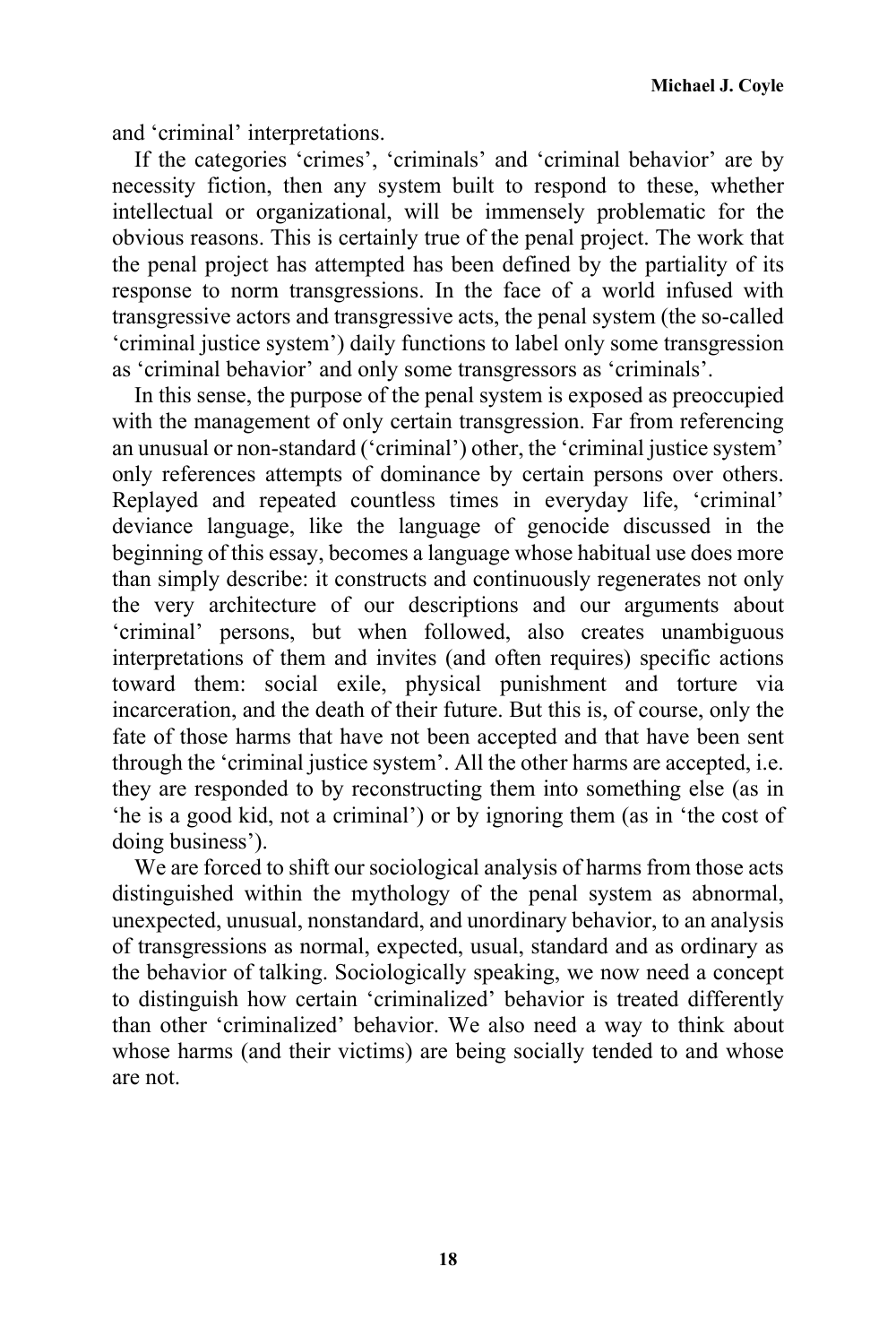and 'criminal' interpretations.

If the categories 'crimes', 'criminals' and 'criminal behavior' are by necessity fiction, then any system built to respond to these, whether intellectual or organizational, will be immensely problematic for the obvious reasons. This is certainly true of the penal project. The work that the penal project has attempted has been defined by the partiality of its response to norm transgressions. In the face of a world infused with transgressive actors and transgressive acts, the penal system (the so-called 'criminal justice system') daily functions to label only some transgression as 'criminal behavior' and only some transgressors as 'criminals'.

In this sense, the purpose of the penal system is exposed as preoccupied with the management of only certain transgression. Far from referencing an unusual or non-standard ('criminal') other, the 'criminal justice system' only references attempts of dominance by certain persons over others. Replayed and repeated countless times in everyday life, 'criminal' deviance language, like the language of genocide discussed in the beginning of this essay, becomes a language whose habitual use does more than simply describe: it constructs and continuously regenerates not only the very architecture of our descriptions and our arguments about 'criminal' persons, but when followed, also creates unambiguous interpretations of them and invites (and often requires) specific actions toward them: social exile, physical punishment and torture via incarceration, and the death of their future. But this is, of course, only the fate of those harms that have not been accepted and that have been sent through the 'criminal justice system'. All the other harms are accepted, i.e. they are responded to by reconstructing them into something else (as in 'he is a good kid, not a criminal') or by ignoring them (as in 'the cost of doing business').

We are forced to shift our sociological analysis of harms from those acts distinguished within the mythology of the penal system as abnormal, unexpected, unusual, nonstandard, and unordinary behavior, to an analysis of transgressions as normal, expected, usual, standard and as ordinary as the behavior of talking. Sociologically speaking, we now need a concept to distinguish how certain 'criminalized' behavior is treated differently than other 'criminalized' behavior. We also need a way to think about whose harms (and their victims) are being socially tended to and whose are not.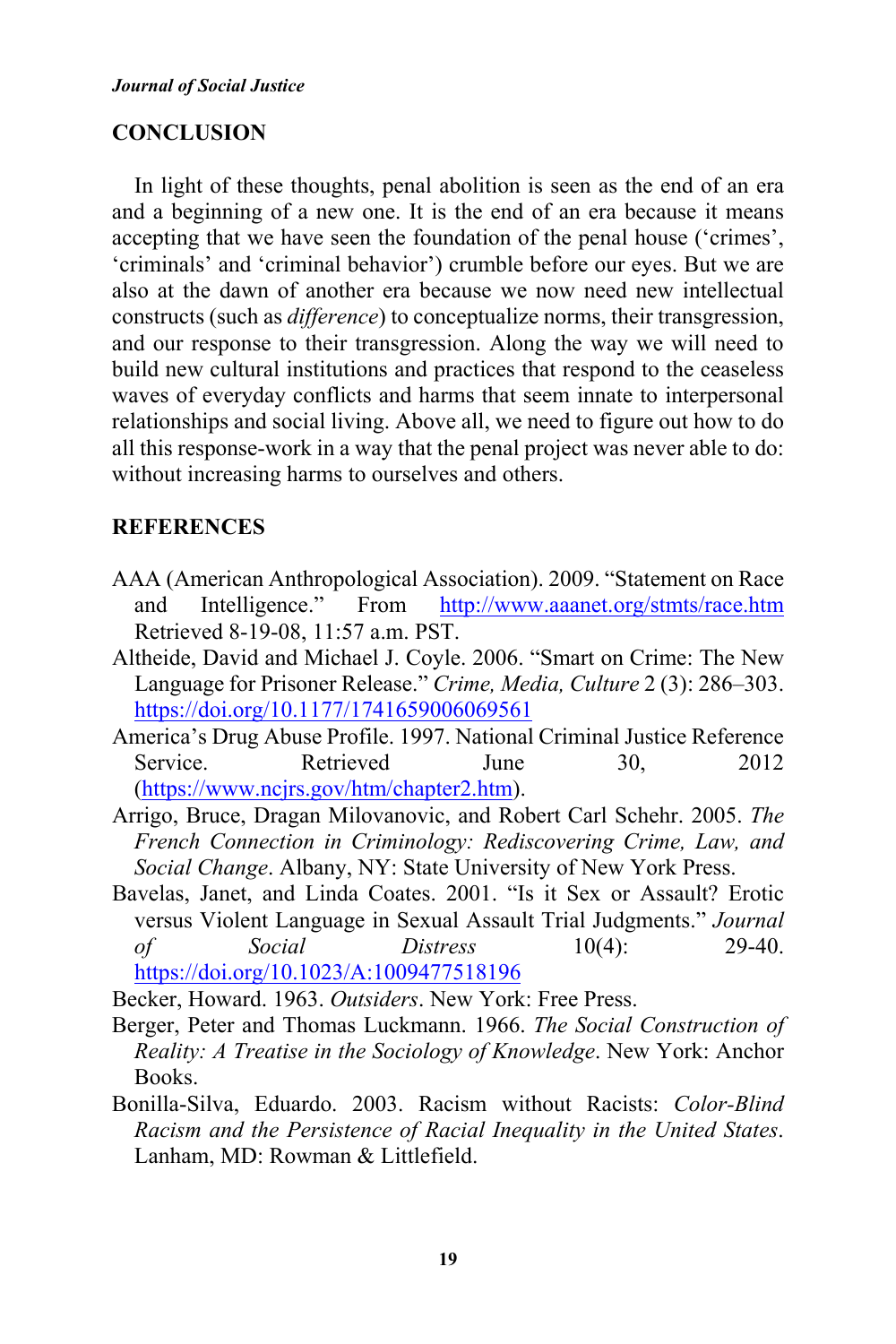# **CONCLUSION**

In light of these thoughts, penal abolition is seen as the end of an era and a beginning of a new one. It is the end of an era because it means accepting that we have seen the foundation of the penal house ('crimes', 'criminals' and 'criminal behavior') crumble before our eyes. But we are also at the dawn of another era because we now need new intellectual constructs (such as *difference*) to conceptualize norms, their transgression, and our response to their transgression. Along the way we will need to build new cultural institutions and practices that respond to the ceaseless waves of everyday conflicts and harms that seem innate to interpersonal relationships and social living. Above all, we need to figure out how to do all this response-work in a way that the penal project was never able to do: without increasing harms to ourselves and others.

# **REFERENCES**

- AAA (American Anthropological Association). 2009. "Statement on Race and Intelligence." From http://www.aaanet.org/stmts/race.htm Retrieved 8-19-08, 11:57 a.m. PST.
- Altheide, David and Michael J. Coyle. 2006. "Smart on Crime: The New Language for Prisoner Release." *Crime, Media, Culture* 2 (3): 286–303. https://doi.org/10.1177/1741659006069561
- America's Drug Abuse Profile. 1997. National Criminal Justice Reference Service. Retrieved June 30, 2012 (https://www.ncjrs.gov/htm/chapter2.htm).
- Arrigo, Bruce, Dragan Milovanovic, and Robert Carl Schehr. 2005. *The French Connection in Criminology: Rediscovering Crime, Law, and Social Change*. Albany, NY: State University of New York Press.
- Bavelas, Janet, and Linda Coates. 2001. "Is it Sex or Assault? Erotic versus Violent Language in Sexual Assault Trial Judgments." *Journal of Social Distress* 10(4): 29-40. https://doi.org/10.1023/A:1009477518196

Becker, Howard. 1963. *Outsiders*. New York: Free Press.

- Berger, Peter and Thomas Luckmann. 1966. *The Social Construction of Reality: A Treatise in the Sociology of Knowledge*. New York: Anchor Books.
- Bonilla-Silva, Eduardo. 2003. Racism without Racists: *Color-Blind Racism and the Persistence of Racial Inequality in the United States*. Lanham, MD: Rowman & Littlefield.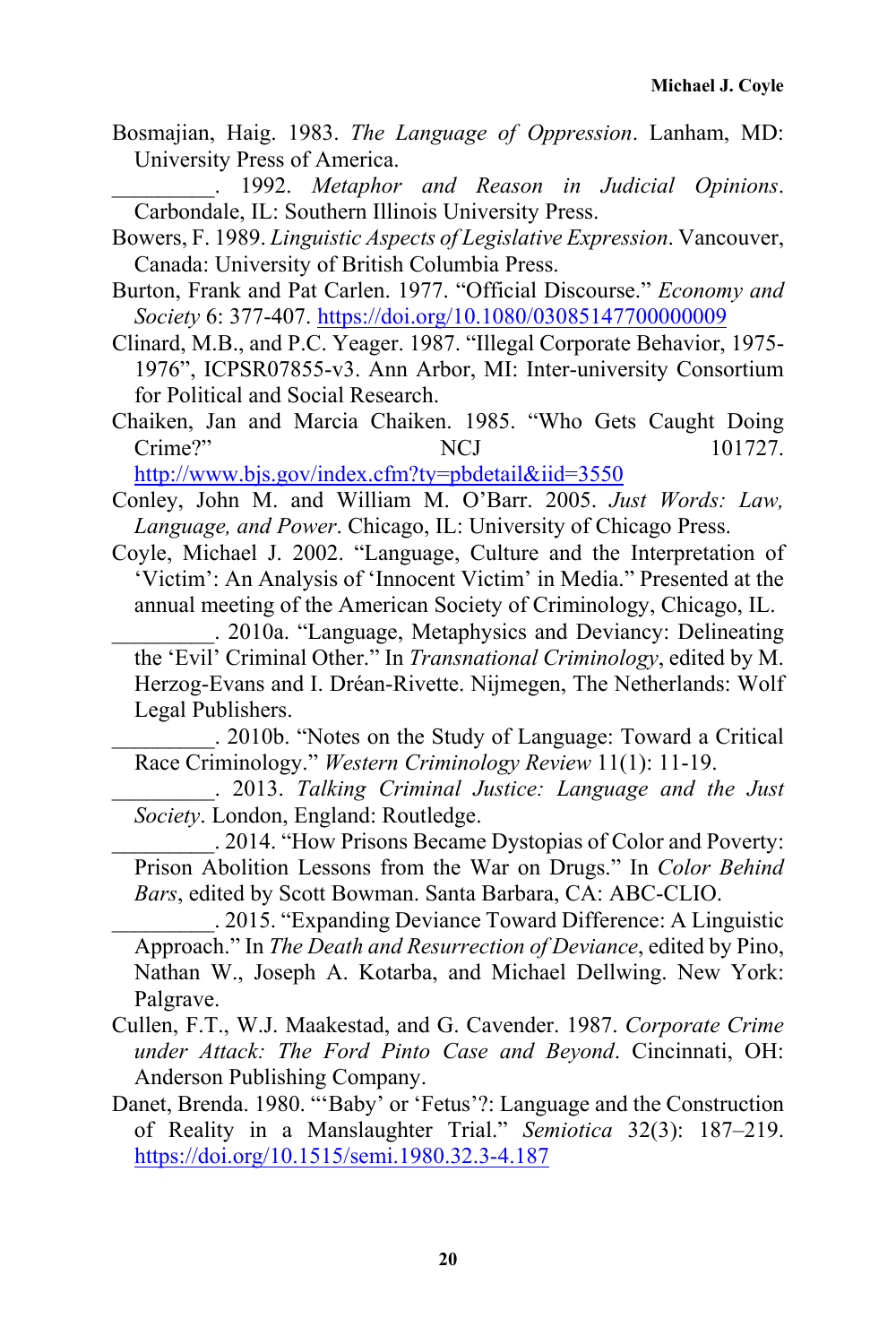Bosmajian, Haig. 1983. *The Language of Oppression*. Lanham, MD: University Press of America.

\_\_\_\_\_\_\_\_\_. 1992. *Metaphor and Reason in Judicial Opinions*. Carbondale, IL: Southern Illinois University Press.

Bowers, F. 1989. *Linguistic Aspects of Legislative Expression*. Vancouver, Canada: University of British Columbia Press.

- Burton, Frank and Pat Carlen. 1977. "Official Discourse." *Economy and Society* 6: 377-407. https://doi.org/10.1080/03085147700000009
- Clinard, M.B., and P.C. Yeager. 1987. "Illegal Corporate Behavior, 1975- 1976", ICPSR07855-v3. Ann Arbor, MI: Inter-university Consortium for Political and Social Research.

Chaiken, Jan and Marcia Chaiken. 1985. "Who Gets Caught Doing Crime?" NCJ 101727.

http://www.bjs.gov/index.cfm?ty=pbdetail&iid=3550

- Conley, John M. and William M. O'Barr. 2005. *Just Words: Law, Language, and Power*. Chicago, IL: University of Chicago Press.
- Coyle, Michael J. 2002. "Language, Culture and the Interpretation of 'Victim': An Analysis of 'Innocent Victim' in Media." Presented at the annual meeting of the American Society of Criminology, Chicago, IL.

\_\_\_\_\_\_\_\_\_. 2010a. "Language, Metaphysics and Deviancy: Delineating the 'Evil' Criminal Other." In *Transnational Criminology*, edited by M. Herzog-Evans and I. Dréan-Rivette. Nijmegen, The Netherlands: Wolf Legal Publishers.

\_\_\_\_\_\_\_\_\_. 2010b. "Notes on the Study of Language: Toward a Critical Race Criminology." *Western Criminology Review* 11(1): 11-19.

\_\_\_\_\_\_\_\_\_. 2013. *Talking Criminal Justice: Language and the Just Society*. London, England: Routledge.

\_\_\_\_\_\_\_\_\_. 2014. "How Prisons Became Dystopias of Color and Poverty: Prison Abolition Lessons from the War on Drugs." In *Color Behind Bars*, edited by Scott Bowman. Santa Barbara, CA: ABC-CLIO.

\_\_\_\_\_\_\_\_\_. 2015. "Expanding Deviance Toward Difference: A Linguistic Approach." In *The Death and Resurrection of Deviance*, edited by Pino, Nathan W., Joseph A. Kotarba, and Michael Dellwing. New York: Palgrave.

- Cullen, F.T., W.J. Maakestad, and G. Cavender. 1987. *Corporate Crime under Attack: The Ford Pinto Case and Beyond*. Cincinnati, OH: Anderson Publishing Company.
- Danet, Brenda. 1980. "'Baby' or 'Fetus'?: Language and the Construction of Reality in a Manslaughter Trial." *Semiotica* 32(3): 187–219. https://doi.org/10.1515/semi.1980.32.3-4.187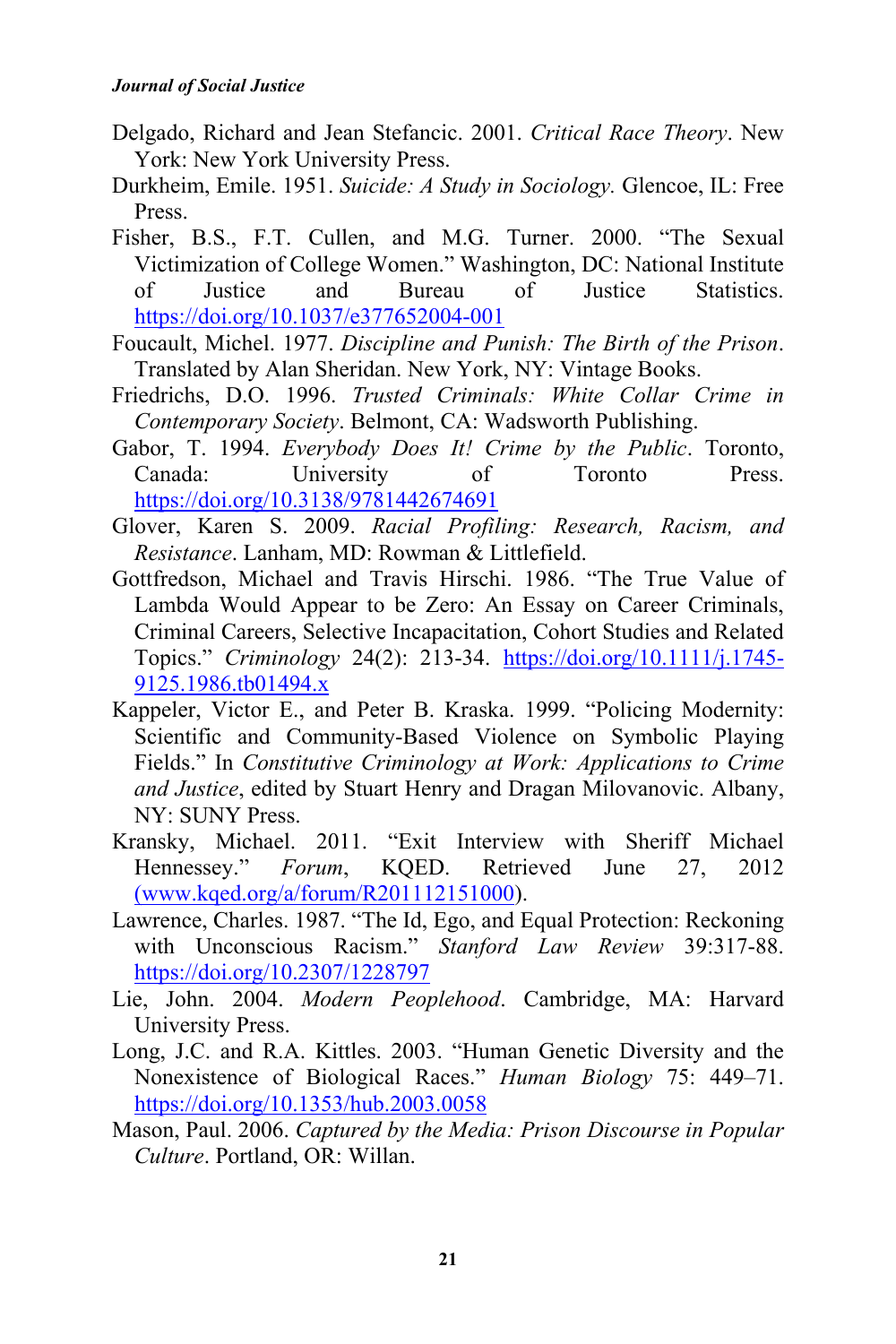- Delgado, Richard and Jean Stefancic. 2001. *Critical Race Theory*. New York: New York University Press.
- Durkheim, Emile. 1951. *Suicide: A Study in Sociology.* Glencoe, IL: Free Press.
- Fisher, B.S., F.T. Cullen, and M.G. Turner. 2000. "The Sexual Victimization of College Women." Washington, DC: National Institute of Justice and Bureau of Justice Statistics. https://doi.org/10.1037/e377652004-001
- Foucault, Michel. 1977. *Discipline and Punish: The Birth of the Prison*. Translated by Alan Sheridan. New York, NY: Vintage Books.
- Friedrichs, D.O. 1996. *Trusted Criminals: White Collar Crime in Contemporary Society*. Belmont, CA: Wadsworth Publishing.
- Gabor, T. 1994. *Everybody Does It! Crime by the Public*. Toronto, Canada: University of Toronto Press. https://doi.org/10.3138/9781442674691
- Glover, Karen S. 2009. *Racial Profiling: Research, Racism, and Resistance*. Lanham, MD: Rowman & Littlefield.
- Gottfredson, Michael and Travis Hirschi. 1986. "The True Value of Lambda Would Appear to be Zero: An Essay on Career Criminals, Criminal Careers, Selective Incapacitation, Cohort Studies and Related Topics." *Criminology* 24(2): 213-34. https://doi.org/10.1111/j.1745- 9125.1986.tb01494.x
- Kappeler, Victor E., and Peter B. Kraska. 1999. "Policing Modernity: Scientific and Community-Based Violence on Symbolic Playing Fields." In *Constitutive Criminology at Work: Applications to Crime and Justice*, edited by Stuart Henry and Dragan Milovanovic. Albany, NY: SUNY Press.
- Kransky, Michael. 2011. "Exit Interview with Sheriff Michael Hennessey." *Forum*, KQED. Retrieved June 27, 2012 (www.kqed.org/a/forum/R201112151000).
- Lawrence, Charles. 1987. "The Id, Ego, and Equal Protection: Reckoning with Unconscious Racism." *Stanford Law Review* 39:317-88. https://doi.org/10.2307/1228797
- Lie, John. 2004. *Modern Peoplehood*. Cambridge, MA: Harvard University Press.
- Long, J.C. and R.A. Kittles. 2003. "Human Genetic Diversity and the Nonexistence of Biological Races." *Human Biology* 75: 449–71. https://doi.org/10.1353/hub.2003.0058
- Mason, Paul. 2006. *Captured by the Media: Prison Discourse in Popular Culture*. Portland, OR: Willan.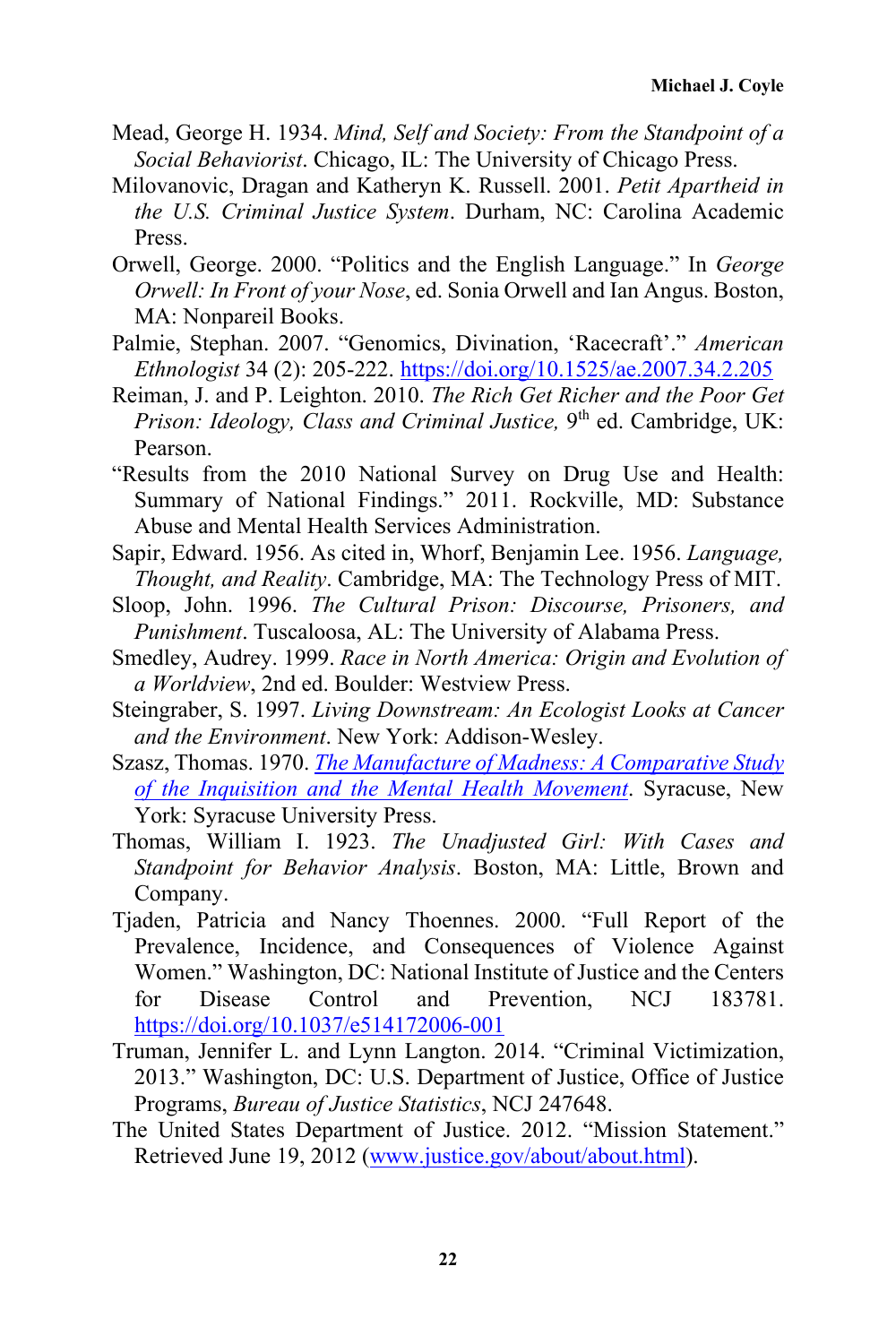- Mead, George H. 1934. *Mind, Self and Society: From the Standpoint of a Social Behaviorist*. Chicago, IL: The University of Chicago Press.
- Milovanovic, Dragan and Katheryn K. Russell. 2001. *Petit Apartheid in the U.S. Criminal Justice System*. Durham, NC: Carolina Academic Press.
- Orwell, George. 2000. "Politics and the English Language." In *George Orwell: In Front of your Nose*, ed. Sonia Orwell and Ian Angus. Boston, MA: Nonpareil Books.
- Palmie, Stephan. 2007. "Genomics, Divination, 'Racecraft'." *American Ethnologist* 34 (2): 205-222. https://doi.org/10.1525/ae.2007.34.2.205
- Reiman, J. and P. Leighton. 2010. *The Rich Get Richer and the Poor Get Prison: Ideology, Class and Criminal Justice,* 9<sup>th</sup> ed. Cambridge, UK: Pearson.
- "Results from the 2010 National Survey on Drug Use and Health: Summary of National Findings." 2011. Rockville, MD: Substance Abuse and Mental Health Services Administration.
- Sapir, Edward. 1956. As cited in, Whorf, Benjamin Lee. 1956. *Language, Thought, and Reality*. Cambridge, MA: The Technology Press of MIT.
- Sloop, John. 1996. *The Cultural Prison: Discourse, Prisoners, and Punishment*. Tuscaloosa, AL: The University of Alabama Press.
- Smedley, Audrey. 1999. *Race in North America: Origin and Evolution of a Worldview*, 2nd ed. Boulder: Westview Press.
- Steingraber, S. 1997. *Living Downstream: An Ecologist Looks at Cancer and the Environment*. New York: Addison-Wesley.
- Szasz, Thomas. 1970. *The Manufacture of Madness: A Comparative Study of the Inquisition and the Mental Health Movement*. Syracuse, New York: Syracuse University Press.
- Thomas, William I. 1923. *The Unadjusted Girl: With Cases and Standpoint for Behavior Analysis*. Boston, MA: Little, Brown and Company.
- Tjaden, Patricia and Nancy Thoennes. 2000. "Full Report of the Prevalence, Incidence, and Consequences of Violence Against Women." Washington, DC: National Institute of Justice and the Centers for Disease Control and Prevention, NCJ 183781. https://doi.org/10.1037/e514172006-001
- Truman, Jennifer L. and Lynn Langton. 2014. "Criminal Victimization, 2013." Washington, DC: U.S. Department of Justice, Office of Justice Programs, *Bureau of Justice Statistics*, NCJ 247648.
- The United States Department of Justice. 2012. "Mission Statement." Retrieved June 19, 2012 (www.justice.gov/about/about.html).